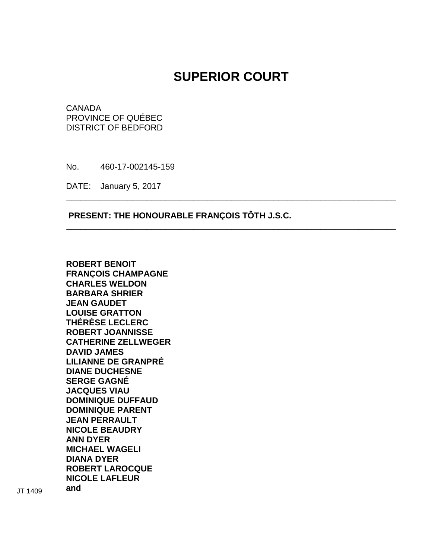# **SUPERIOR COURT**

\_\_\_\_\_\_\_\_\_\_\_\_\_\_\_\_\_\_\_\_\_\_\_\_\_\_\_\_\_\_\_\_\_\_\_\_\_\_\_\_\_\_\_\_\_\_\_\_\_\_\_\_\_\_\_\_\_\_\_\_\_\_\_\_\_\_\_\_\_\_

\_\_\_\_\_\_\_\_\_\_\_\_\_\_\_\_\_\_\_\_\_\_\_\_\_\_\_\_\_\_\_\_\_\_\_\_\_\_\_\_\_\_\_\_\_\_\_\_\_\_\_\_\_\_\_\_\_\_\_\_\_\_\_\_\_\_\_\_\_\_

CANADA PROVINCE OF QUÉBEC DISTRICT OF BEDFORD

No. 460-17-002145-159

DATE: January 5, 2017

# **PRESENT: THE HONOURABLE FRANÇOIS TÔTH J.S.C.**

**ROBERT BENOIT FRANÇOIS CHAMPAGNE CHARLES WELDON BARBARA SHRIER JEAN GAUDET LOUISE GRATTON THÉRÈSE LECLERC ROBERT JOANNISSE CATHERINE ZELLWEGER DAVID JAMES LILIANNE DE GRANPRÉ DIANE DUCHESNE SERGE GAGNÉ JACQUES VIAU DOMINIQUE DUFFAUD DOMINIQUE PARENT JEAN PERRAULT NICOLE BEAUDRY ANN DYER MICHAEL WAGELI DIANA DYER ROBERT LAROCQUE NICOLE LAFLEUR** 

**and** JT 1409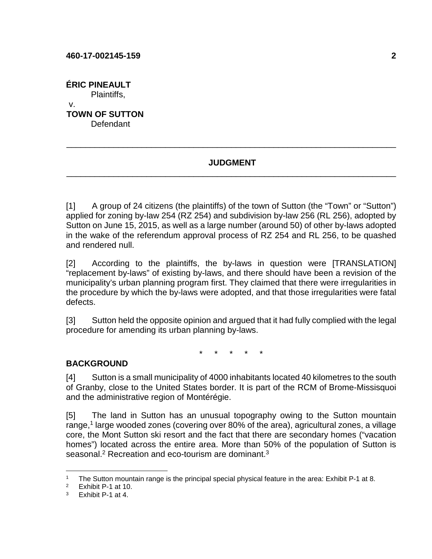**ÉRIC PINEAULT**  Plaintiffs, v. **TOWN OF SUTTON Defendant** 

# **JUDGMENT**  \_\_\_\_\_\_\_\_\_\_\_\_\_\_\_\_\_\_\_\_\_\_\_\_\_\_\_\_\_\_\_\_\_\_\_\_\_\_\_\_\_\_\_\_\_\_\_\_\_\_\_\_\_\_\_\_\_\_\_\_\_\_\_\_\_\_\_\_\_\_

\_\_\_\_\_\_\_\_\_\_\_\_\_\_\_\_\_\_\_\_\_\_\_\_\_\_\_\_\_\_\_\_\_\_\_\_\_\_\_\_\_\_\_\_\_\_\_\_\_\_\_\_\_\_\_\_\_\_\_\_\_\_\_\_\_\_\_\_\_\_

[1] A group of 24 citizens (the plaintiffs) of the town of Sutton (the "Town" or "Sutton") applied for zoning by-law 254 (RZ 254) and subdivision by-law 256 (RL 256), adopted by Sutton on June 15, 2015, as well as a large number (around 50) of other by-laws adopted in the wake of the referendum approval process of RZ 254 and RL 256, to be quashed and rendered null.

[2] According to the plaintiffs, the by-laws in question were [TRANSLATION] "replacement by-laws" of existing by-laws, and there should have been a revision of the municipality's urban planning program first. They claimed that there were irregularities in the procedure by which the by-laws were adopted, and that those irregularities were fatal defects.

[3] Sutton held the opposite opinion and argued that it had fully complied with the legal procedure for amending its urban planning by-laws.

\* \* \* \* \*

# **BACKGROUND**

[4] Sutton is a small municipality of 4000 inhabitants located 40 kilometres to the south of Granby, close to the United States border. It is part of the RCM of Brome-Missisquoi and the administrative region of Montérégie.

[5] The land in Sutton has an unusual topography owing to the Sutton mountain range,<sup>1</sup> large wooded zones (covering over 80% of the area), agricultural zones, a village core, the Mont Sutton ski resort and the fact that there are secondary homes ("vacation homes") located across the entire area. More than 50% of the population of Sutton is seasonal.<sup>2</sup> Recreation and eco-tourism are dominant.<sup>3</sup>

<u>.</u>

<sup>1</sup> The Sutton mountain range is the principal special physical feature in the area: Exhibit P-1 at 8.

<sup>2</sup> Exhibit P-1 at 10.

<sup>3</sup> Exhibit P-1 at 4.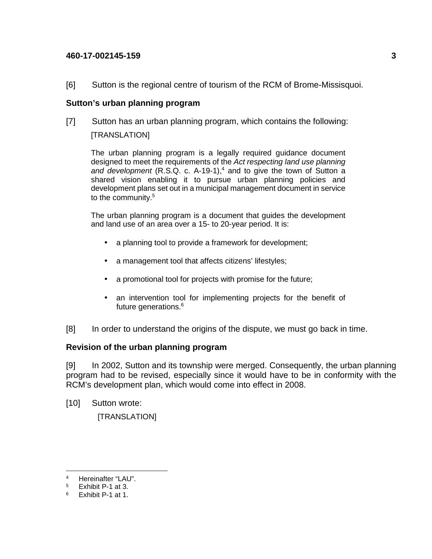[6] Sutton is the regional centre of tourism of the RCM of Brome-Missisquoi.

# **Sutton's urban planning program**

[7] Sutton has an urban planning program, which contains the following: [TRANSLATION]

The urban planning program is a legally required guidance document designed to meet the requirements of the Act respecting land use planning and development  $(R.S.Q. c. A-19-1),<sup>4</sup>$  and to give the town of Sutton a shared vision enabling it to pursue urban planning policies and development plans set out in a municipal management document in service to the community.<sup>5</sup>

The urban planning program is a document that guides the development and land use of an area over a 15- to 20-year period. It is:

- a planning tool to provide a framework for development;
- a management tool that affects citizens' lifestyles;
- a promotional tool for projects with promise for the future;
- an intervention tool for implementing projects for the benefit of future generations.<sup>6</sup>
- [8] In order to understand the origins of the dispute, we must go back in time.

# **Revision of the urban planning program**

[9] In 2002, Sutton and its township were merged. Consequently, the urban planning program had to be revised, especially since it would have to be in conformity with the RCM's development plan, which would come into effect in 2008.

[10] Sutton wrote:

[TRANSLATION]

<sup>&</sup>lt;u>.</u> 4 Hereinafter "LAU".

<sup>5</sup> Exhibit P-1 at 3.

<sup>6</sup> Exhibit P-1 at 1.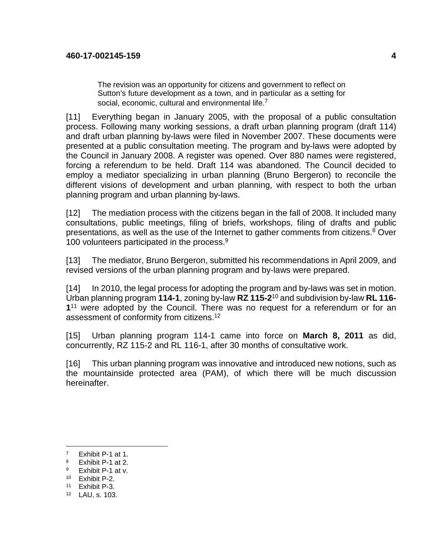The revision was an opportunity for citizens and government to reflect on Sutton's future development as a town, and in particular as a setting for social, economic, cultural and environmental life.<sup>7</sup>

[11] Everything began in January 2005, with the proposal of a public consultation process. Following many working sessions, a draft urban planning program (draft 114) and draft urban planning by-laws were filed in November 2007. These documents were presented at a public consultation meeting. The program and by-laws were adopted by the Council in January 2008. A register was opened. Over 880 names were registered, forcing a referendum to be held. Draft 114 was abandoned. The Council decided to employ a mediator specializing in urban planning (Bruno Bergeron) to reconcile the different visions of development and urban planning, with respect to both the urban planning program and urban planning by-laws.

[12] The mediation process with the citizens began in the fall of 2008. It included many consultations, public meetings, filing of briefs, workshops, filing of drafts and public presentations, as well as the use of the Internet to gather comments from citizens.<sup>8</sup> Over 100 volunteers participated in the process.<sup>9</sup>

[13] The mediator, Bruno Bergeron, submitted his recommendations in April 2009, and revised versions of the urban planning program and by-laws were prepared.

[14] In 2010, the legal process for adopting the program and by-laws was set in motion. Urban planning program **114-1**, zoning by-law **RZ 115-2**<sup>10</sup> and subdivision by-law **RL 116-** 1<sup>11</sup> were adopted by the Council. There was no request for a referendum or for an assessment of conformity from citizens.<sup>12</sup>

[15] Urban planning program 114-1 came into force on **March 8, 2011** as did, concurrently, RZ 115-2 and RL 116-1, after 30 months of consultative work.

[16] This urban planning program was innovative and introduced new notions, such as the mountainside protected area (PAM), of which there will be much discussion hereinafter.

<sup>7</sup> Exhibit P-1 at 1.

<sup>8</sup> Exhibit P-1 at 2.

<sup>9</sup> Exhibit P-1 at v.

<sup>10</sup> Exhibit P-2.

<sup>11</sup> Exhibit P-3.

<sup>12</sup> LAU, s. 103.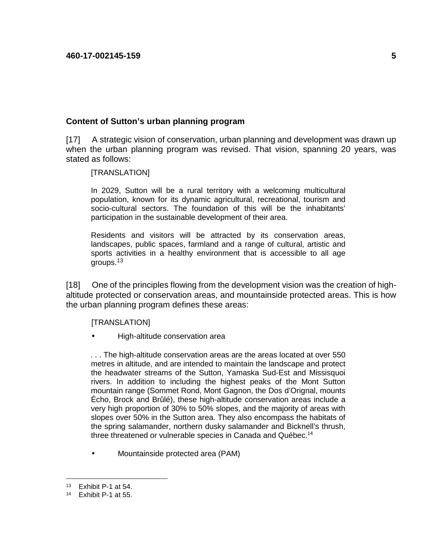## **Content of Sutton's urban planning program**

[17] A strategic vision of conservation, urban planning and development was drawn up when the urban planning program was revised. That vision, spanning 20 years, was stated as follows:

[TRANSLATION]

In 2029, Sutton will be a rural territory with a welcoming multicultural population, known for its dynamic agricultural, recreational, tourism and socio-cultural sectors. The foundation of this will be the inhabitants' participation in the sustainable development of their area.

Residents and visitors will be attracted by its conservation areas, landscapes, public spaces, farmland and a range of cultural, artistic and sports activities in a healthy environment that is accessible to all age groups.<sup>13</sup>

[18] One of the principles flowing from the development vision was the creation of highaltitude protected or conservation areas, and mountainside protected areas. This is how the urban planning program defines these areas:

[TRANSLATION]

• High-altitude conservation area

. . . The high-altitude conservation areas are the areas located at over 550 metres in altitude, and are intended to maintain the landscape and protect the headwater streams of the Sutton, Yamaska Sud-Est and Missisquoi rivers. In addition to including the highest peaks of the Mont Sutton mountain range (Sommet Rond, Mont Gagnon, the Dos d'Orignal, mounts Écho, Brock and Brûlé), these high-altitude conservation areas include a very high proportion of 30% to 50% slopes, and the majority of areas with slopes over 50% in the Sutton area. They also encompass the habitats of the spring salamander, northern dusky salamander and Bicknell's thrush, three threatened or vulnerable species in Canada and Québec.<sup>14</sup>

• Mountainside protected area (PAM)

<sup>13</sup> Exhibit P-1 at 54.

<sup>14</sup> Exhibit P-1 at 55.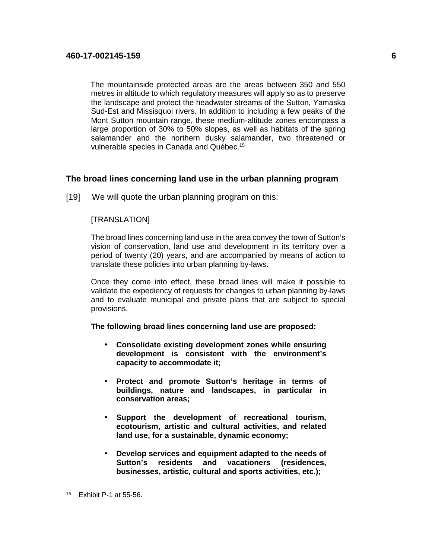The mountainside protected areas are the areas between 350 and 550 metres in altitude to which regulatory measures will apply so as to preserve the landscape and protect the headwater streams of the Sutton, Yamaska Sud-Est and Missisquoi rivers. In addition to including a few peaks of the Mont Sutton mountain range, these medium-altitude zones encompass a large proportion of 30% to 50% slopes, as well as habitats of the spring salamander and the northern dusky salamander, two threatened or vulnerable species in Canada and Québec.<sup>15</sup>

## **The broad lines concerning land use in the urban planning program**

[19] We will quote the urban planning program on this:

## [TRANSLATION]

The broad lines concerning land use in the area convey the town of Sutton's vision of conservation, land use and development in its territory over a period of twenty (20) years, and are accompanied by means of action to translate these policies into urban planning by-laws.

Once they come into effect, these broad lines will make it possible to validate the expediency of requests for changes to urban planning by-laws and to evaluate municipal and private plans that are subject to special provisions.

**The following broad lines concerning land use are proposed:** 

- **Consolidate existing development zones while ensuring development is consistent with the environment's capacity to accommodate it;**
- **Protect and promote Sutton's heritage in terms of buildings, nature and landscapes, in particular in conservation areas;**
- **Support the development of recreational tourism, ecotourism, artistic and cultural activities, and related land use, for a sustainable, dynamic economy;**
- **Develop services and equipment adapted to the needs of Sutton's residents and vacationers (residences, businesses, artistic, cultural and sports activities, etc.);**

<sup>15</sup> Exhibit P-1 at 55-56.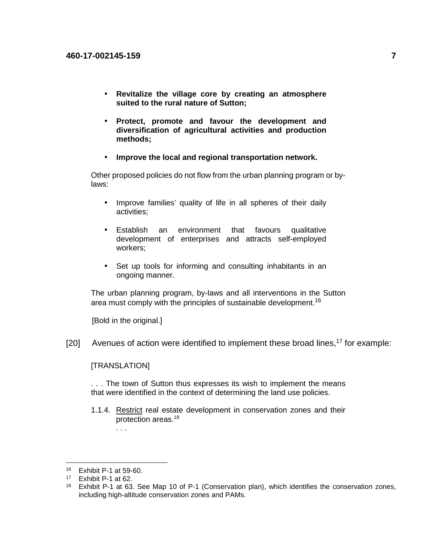- **Revitalize the village core by creating an atmosphere suited to the rural nature of Sutton;**
- **Protect, promote and favour the development and diversification of agricultural activities and production methods;**
- **Improve the local and regional transportation network.**

Other proposed policies do not flow from the urban planning program or bylaws:

- Improve families' quality of life in all spheres of their daily activities;
- Establish an environment that favours qualitative development of enterprises and attracts self-employed workers;
- Set up tools for informing and consulting inhabitants in an ongoing manner.

The urban planning program, by-laws and all interventions in the Sutton area must comply with the principles of sustainable development.<sup>16</sup>

[Bold in the original.]

 $[20]$  Avenues of action were identified to implement these broad lines,<sup>17</sup> for example:

#### [TRANSLATION]

. . .

. . . The town of Sutton thus expresses its wish to implement the means that were identified in the context of determining the land use policies.

1.1.4. Restrict real estate development in conservation zones and their protection areas.<sup>18</sup>

<sup>16</sup> Exhibit P-1 at 59-60.

<sup>17</sup> Exhibit P-1 at 62.

<sup>&</sup>lt;sup>18</sup> Exhibit P-1 at 63. See Map 10 of P-1 (Conservation plan), which identifies the conservation zones, including high-altitude conservation zones and PAMs.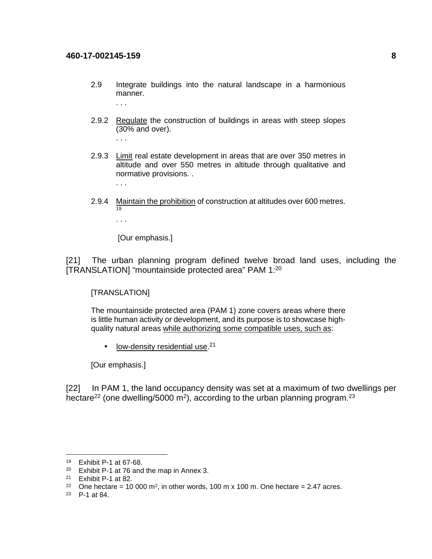- 2.9 Integrate buildings into the natural landscape in a harmonious manner. . . .
- 2.9.2 Regulate the construction of buildings in areas with steep slopes (30% and over).
	- . . .
- 2.9.3 Limit real estate development in areas that are over 350 metres in altitude and over 550 metres in altitude through qualitative and normative provisions. .

. . .

2.9.4 Maintain the prohibition of construction at altitudes over 600 metres. 19

. . .

[Our emphasis.]

[21] The urban planning program defined twelve broad land uses, including the [TRANSLATION] "mountainside protected area" PAM 1:<sup>20</sup>

[TRANSLATION]

The mountainside protected area (PAM 1) zone covers areas where there is little human activity or development, and its purpose is to showcase highquality natural areas while authorizing some compatible uses, such as:

 $\bullet$  low-density residential use.<sup>21</sup>

[Our emphasis.]

[22] In PAM 1, the land occupancy density was set at a maximum of two dwellings per hectare<sup>22</sup> (one dwelling/5000 m<sup>2</sup>), according to the urban planning program.<sup>23</sup>

<sup>19</sup> Exhibit P-1 at 67-68.

<sup>20</sup> Exhibit P-1 at 76 and the map in Annex 3.

<sup>21</sup> Exhibit P-1 at 82.

<sup>&</sup>lt;sup>22</sup> One hectare = 10 000 m<sup>2</sup>, in other words, 100 m x 100 m. One hectare = 2.47 acres.

<sup>23</sup> P-1 at 84.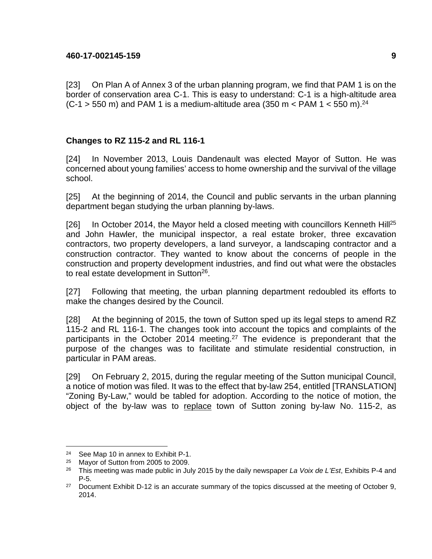[23] On Plan A of Annex 3 of the urban planning program, we find that PAM 1 is on the border of conservation area C-1. This is easy to understand: C-1 is a high-altitude area  $(C-1 > 550$  m) and PAM 1 is a medium-altitude area (350 m < PAM 1 < 550 m).<sup>24</sup>

# **Changes to RZ 115-2 and RL 116-1**

[24] In November 2013, Louis Dandenault was elected Mayor of Sutton. He was concerned about young families' access to home ownership and the survival of the village school.

[25] At the beginning of 2014, the Council and public servants in the urban planning department began studying the urban planning by-laws.

[26] In October 2014, the Mayor held a closed meeting with councillors Kenneth Hill<sup>25</sup> and John Hawler, the municipal inspector, a real estate broker, three excavation contractors, two property developers, a land surveyor, a landscaping contractor and a construction contractor. They wanted to know about the concerns of people in the construction and property development industries, and find out what were the obstacles to real estate development in Sutton<sup>26</sup>.

[27] Following that meeting, the urban planning department redoubled its efforts to make the changes desired by the Council.

[28] At the beginning of 2015, the town of Sutton sped up its legal steps to amend RZ 115-2 and RL 116-1. The changes took into account the topics and complaints of the participants in the October 2014 meeting.<sup>27</sup> The evidence is preponderant that the purpose of the changes was to facilitate and stimulate residential construction, in particular in PAM areas.

[29] On February 2, 2015, during the regular meeting of the Sutton municipal Council, a notice of motion was filed. It was to the effect that by-law 254, entitled [TRANSLATION] "Zoning By-Law," would be tabled for adoption. According to the notice of motion, the object of the by-law was to replace town of Sutton zoning by-law No. 115-2, as

<sup>&</sup>lt;sup>24</sup> See Map 10 in annex to Exhibit P-1.<br><sup>25</sup> Mayor of Sutton from 2005 to 2009

<sup>&</sup>lt;sup>25</sup> Mayor of Sutton from 2005 to 2009.<br><sup>26</sup> This meeting was made public in Ju

This meeting was made public in July 2015 by the daily newspaper La Voix de L'Est, Exhibits P-4 and P-5.

<sup>&</sup>lt;sup>27</sup> Document Exhibit D-12 is an accurate summary of the topics discussed at the meeting of October 9, 2014.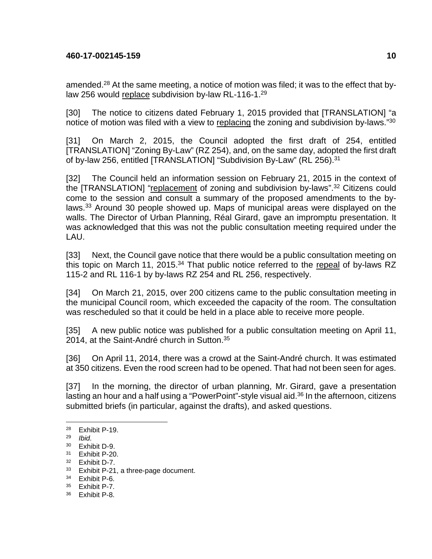amended.<sup>28</sup> At the same meeting, a notice of motion was filed; it was to the effect that bylaw 256 would replace subdivision by-law RL-116-1.<sup>29</sup>

[30] The notice to citizens dated February 1, 2015 provided that [TRANSLATION] "a notice of motion was filed with a view to replacing the zoning and subdivision by-laws."<sup>30</sup>

[31] On March 2, 2015, the Council adopted the first draft of 254, entitled [TRANSLATION] "Zoning By-Law" (RZ 254), and, on the same day, adopted the first draft of by-law 256, entitled [TRANSLATION] "Subdivision By-Law" (RL 256).<sup>31</sup>

[32] The Council held an information session on February 21, 2015 in the context of the [TRANSLATION] "replacement of zoning and subdivision by-laws".<sup>32</sup> Citizens could come to the session and consult a summary of the proposed amendments to the bylaws.<sup>33</sup> Around 30 people showed up. Maps of municipal areas were displayed on the walls. The Director of Urban Planning, Réal Girard, gave an impromptu presentation. It was acknowledged that this was not the public consultation meeting required under the LAU.

[33] Next, the Council gave notice that there would be a public consultation meeting on this topic on March 11, 2015. $34$  That public notice referred to the repeal of by-laws RZ 115-2 and RL 116-1 by by-laws RZ 254 and RL 256, respectively.

[34] On March 21, 2015, over 200 citizens came to the public consultation meeting in the municipal Council room, which exceeded the capacity of the room. The consultation was rescheduled so that it could be held in a place able to receive more people.

[35] A new public notice was published for a public consultation meeting on April 11, 2014, at the Saint-André church in Sutton.<sup>35</sup>

[36] On April 11, 2014, there was a crowd at the Saint-André church. It was estimated at 350 citizens. Even the rood screen had to be opened. That had not been seen for ages.

[37] In the morning, the director of urban planning, Mr. Girard, gave a presentation lasting an hour and a half using a "PowerPoint"-style visual aid. $36$  In the afternoon, citizens submitted briefs (in particular, against the drafts), and asked questions.

<u>.</u>

<sup>28</sup> Exhibit P-19.

<sup>29</sup> Ibid.

 $30$  Exhibit D-9.<br> $31$  Exhibit D-20

 $31$  Exhibit P-20.<br> $32$  Exhibit D-7

Exhibit D-7.

<sup>33</sup> Exhibit P-21, a three-page document.

<sup>34</sup> Exhibit P-6.

<sup>35</sup> Exhibit P-7.

<sup>36</sup> Exhibit P-8.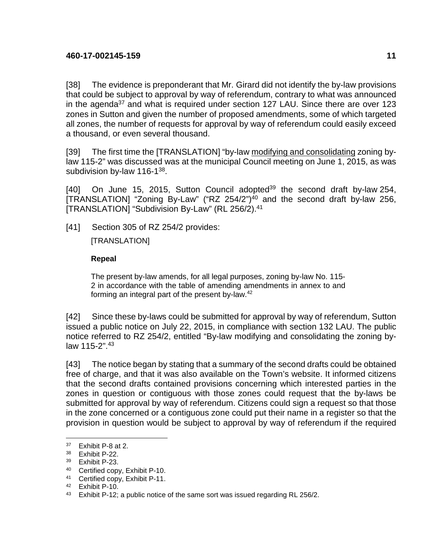[38] The evidence is preponderant that Mr. Girard did not identify the by-law provisions that could be subject to approval by way of referendum, contrary to what was announced in the agenda<sup>37</sup> and what is required under section 127 LAU. Since there are over 123 zones in Sutton and given the number of proposed amendments, some of which targeted all zones, the number of requests for approval by way of referendum could easily exceed a thousand, or even several thousand.

[39] The first time the [TRANSLATION] "by-law modifying and consolidating zoning bylaw 115-2" was discussed was at the municipal Council meeting on June 1, 2015, as was subdivision by-law 116-1<sup>38</sup>.

[40] On June 15, 2015, Sutton Council adopted<sup>39</sup> the second draft by-law 254,  $ITRANSLATION$  "Zoning By-Law" ("RZ 254/2")<sup>40</sup> and the second draft by-law 256, [TRANSLATION] "Subdivision By-Law" (RL 256/2).<sup>41</sup>

[41] Section 305 of RZ 254/2 provides:

[TRANSLATION]

# **Repeal**

The present by-law amends, for all legal purposes, zoning by-law No. 115- 2 in accordance with the table of amending amendments in annex to and forming an integral part of the present by-law.<sup>42</sup>

[42] Since these by-laws could be submitted for approval by way of referendum, Sutton issued a public notice on July 22, 2015, in compliance with section 132 LAU. The public notice referred to RZ 254/2, entitled "By-law modifying and consolidating the zoning bylaw 115-2".<sup>43</sup>

[43] The notice began by stating that a summary of the second drafts could be obtained free of charge, and that it was also available on the Town's website. It informed citizens that the second drafts contained provisions concerning which interested parties in the zones in question or contiguous with those zones could request that the by-laws be submitted for approval by way of referendum. Citizens could sign a request so that those in the zone concerned or a contiguous zone could put their name in a register so that the provision in question would be subject to approval by way of referendum if the required

<sup>1</sup> <sup>37</sup> Exhibit P-8 at 2.

<sup>38</sup> Exhibit P-22.

<sup>39</sup> Exhibit P-23.

<sup>40</sup> Certified copy, Exhibit P-10.

<sup>41</sup> Certified copy, Exhibit P-11.

<sup>42</sup> Exhibit P-10.

<sup>&</sup>lt;sup>43</sup> Exhibit P-12; a public notice of the same sort was issued regarding RL 256/2.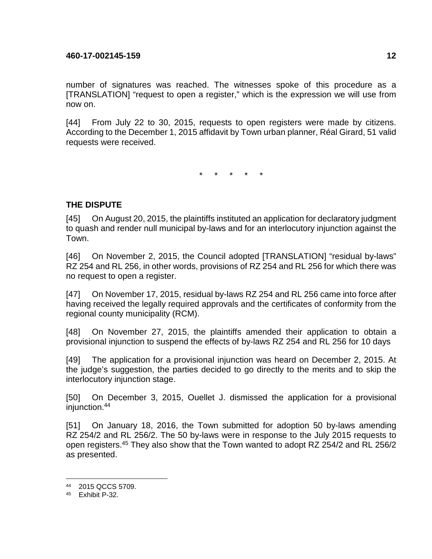number of signatures was reached. The witnesses spoke of this procedure as a [TRANSLATION] "request to open a register," which is the expression we will use from now on.

[44] From July 22 to 30, 2015, requests to open registers were made by citizens. According to the December 1, 2015 affidavit by Town urban planner, Réal Girard, 51 valid requests were received.

\* \* \* \* \*

# **THE DISPUTE**

[45] On August 20, 2015, the plaintiffs instituted an application for declaratory judgment to quash and render null municipal by-laws and for an interlocutory injunction against the Town.

[46] On November 2, 2015, the Council adopted [TRANSLATION] "residual by-laws" RZ 254 and RL 256, in other words, provisions of RZ 254 and RL 256 for which there was no request to open a register.

[47] On November 17, 2015, residual by-laws RZ 254 and RL 256 came into force after having received the legally required approvals and the certificates of conformity from the regional county municipality (RCM).

[48] On November 27, 2015, the plaintiffs amended their application to obtain a provisional injunction to suspend the effects of by-laws RZ 254 and RL 256 for 10 days

[49] The application for a provisional injunction was heard on December 2, 2015. At the judge's suggestion, the parties decided to go directly to the merits and to skip the interlocutory injunction stage.

[50] On December 3, 2015, Ouellet J. dismissed the application for a provisional injunction.<sup>44</sup>

[51] On January 18, 2016, the Town submitted for adoption 50 by-laws amending RZ 254/2 and RL 256/2. The 50 by-laws were in response to the July 2015 requests to open registers.<sup>45</sup> They also show that the Town wanted to adopt RZ 254/2 and RL 256/2 as presented.

<sup>44</sup> 2015 QCCS 5709.

<sup>45</sup> Exhibit P-32.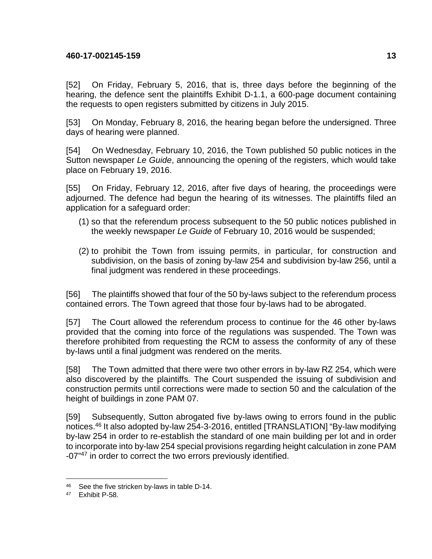[52] On Friday, February 5, 2016, that is, three days before the beginning of the hearing, the defence sent the plaintiffs Exhibit D-1.1, a 600-page document containing the requests to open registers submitted by citizens in July 2015.

[53] On Monday, February 8, 2016, the hearing began before the undersigned. Three days of hearing were planned.

[54] On Wednesday, February 10, 2016, the Town published 50 public notices in the Sutton newspaper Le Guide, announcing the opening of the registers, which would take place on February 19, 2016.

[55] On Friday, February 12, 2016, after five days of hearing, the proceedings were adjourned. The defence had begun the hearing of its witnesses. The plaintiffs filed an application for a safeguard order:

- (1) so that the referendum process subsequent to the 50 public notices published in the weekly newspaper Le Guide of February 10, 2016 would be suspended;
- (2) to prohibit the Town from issuing permits, in particular, for construction and subdivision, on the basis of zoning by-law 254 and subdivision by-law 256, until a final judgment was rendered in these proceedings.

[56] The plaintiffs showed that four of the 50 by-laws subject to the referendum process contained errors. The Town agreed that those four by-laws had to be abrogated.

[57] The Court allowed the referendum process to continue for the 46 other by-laws provided that the coming into force of the regulations was suspended. The Town was therefore prohibited from requesting the RCM to assess the conformity of any of these by-laws until a final judgment was rendered on the merits.

[58] The Town admitted that there were two other errors in by-law RZ 254, which were also discovered by the plaintiffs. The Court suspended the issuing of subdivision and construction permits until corrections were made to section 50 and the calculation of the height of buildings in zone PAM 07.

[59] Subsequently, Sutton abrogated five by-laws owing to errors found in the public notices.<sup>46</sup> It also adopted by-law 254-3-2016, entitled [TRANSLATION] "By-law modifying by-law 254 in order to re-establish the standard of one main building per lot and in order to incorporate into by-law 254 special provisions regarding height calculation in zone PAM -07<sup>"47</sup> in order to correct the two errors previously identified.

<sup>1</sup> 46 See the five stricken by-laws in table D-14.

<sup>47</sup> Exhibit P-58.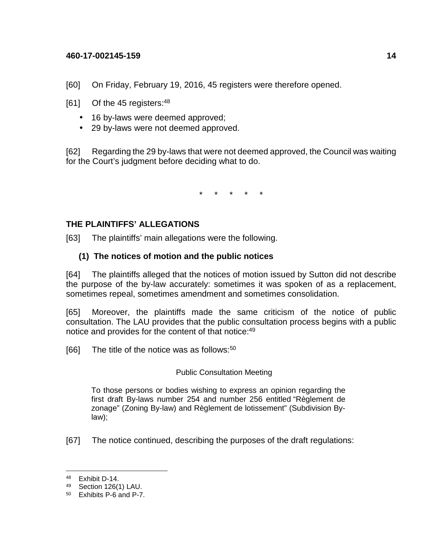[60] On Friday, February 19, 2016, 45 registers were therefore opened.

 $[61]$  Of the 45 registers:  $48$ 

- 16 by-laws were deemed approved;
- 29 by-laws were not deemed approved.

[62] Regarding the 29 by-laws that were not deemed approved, the Council was waiting for the Court's judgment before deciding what to do.

\* \* \* \* \*

# **THE PLAINTIFFS' ALLEGATIONS**

[63] The plaintiffs' main allegations were the following.

# **(1) The notices of motion and the public notices**

[64] The plaintiffs alleged that the notices of motion issued by Sutton did not describe the purpose of the by-law accurately: sometimes it was spoken of as a replacement, sometimes repeal, sometimes amendment and sometimes consolidation.

[65] Moreover, the plaintiffs made the same criticism of the notice of public consultation. The LAU provides that the public consultation process begins with a public notice and provides for the content of that notice:<sup>49</sup>

[66] The title of the notice was as follows: $50$ 

# Public Consultation Meeting

To those persons or bodies wishing to express an opinion regarding the first draft By-laws number 254 and number 256 entitled "Règlement de zonage" (Zoning By-law) and Règlement de lotissement" (Subdivision Bylaw);

[67] The notice continued, describing the purposes of the draft regulations:

<u>.</u>

<sup>48</sup> Exhibit D-14.

<sup>49</sup> Section 126(1) LAU.

<sup>50</sup> Exhibits P-6 and P-7.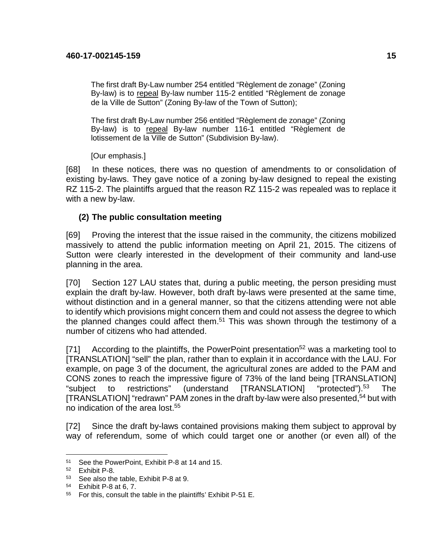The first draft By-Law number 254 entitled "Règlement de zonage" (Zoning By-law) is to repeal By-law number 115-2 entitled "Règlement de zonage de la Ville de Sutton" (Zoning By-law of the Town of Sutton);

The first draft By-Law number 256 entitled "Règlement de zonage" (Zoning By-law) is to repeal By-law number 116-1 entitled "Règlement de lotissement de la Ville de Sutton" (Subdivision By-law).

[Our emphasis.]

[68] In these notices, there was no question of amendments to or consolidation of existing by-laws. They gave notice of a zoning by-law designed to repeal the existing RZ 115-2. The plaintiffs argued that the reason RZ 115-2 was repealed was to replace it with a new by-law.

# **(2) The public consultation meeting**

[69] Proving the interest that the issue raised in the community, the citizens mobilized massively to attend the public information meeting on April 21, 2015. The citizens of Sutton were clearly interested in the development of their community and land-use planning in the area.

[70] Section 127 LAU states that, during a public meeting, the person presiding must explain the draft by-law. However, both draft by-laws were presented at the same time, without distinction and in a general manner, so that the citizens attending were not able to identify which provisions might concern them and could not assess the degree to which the planned changes could affect them.<sup>51</sup> This was shown through the testimony of a number of citizens who had attended.

[71] According to the plaintiffs, the PowerPoint presentation<sup>52</sup> was a marketing tool to [TRANSLATION] "sell" the plan, rather than to explain it in accordance with the LAU. For example, on page 3 of the document, the agricultural zones are added to the PAM and CONS zones to reach the impressive figure of 73% of the land being [TRANSLATION] "subject to restrictions" (understand [TRANSLATION] "protected").<sup>53</sup> The [TRANSLATION] "redrawn" PAM zones in the draft by-law were also presented,<sup>54</sup> but with no indication of the area lost.<sup>55</sup>

[72] Since the draft by-laws contained provisions making them subject to approval by way of referendum, some of which could target one or another (or even all) of the

<sup>1</sup> <sup>51</sup> See the PowerPoint, Exhibit P-8 at 14 and 15.

<sup>52</sup> Exhibit P-8.

<sup>53</sup> See also the table, Exhibit P-8 at 9.

<sup>54</sup> Exhibit P-8 at 6, 7.

<sup>55</sup> For this, consult the table in the plaintiffs' Exhibit P-51 E.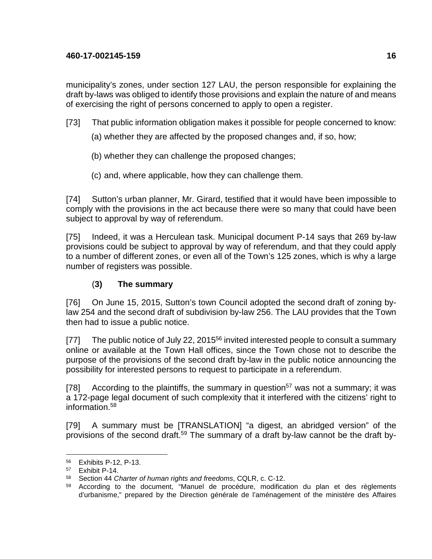municipality's zones, under section 127 LAU, the person responsible for explaining the draft by-laws was obliged to identify those provisions and explain the nature of and means of exercising the right of persons concerned to apply to open a register.

- [73] That public information obligation makes it possible for people concerned to know:
	- (a) whether they are affected by the proposed changes and, if so, how;
	- (b) whether they can challenge the proposed changes;
	- (c) and, where applicable, how they can challenge them.

[74] Sutton's urban planner, Mr. Girard, testified that it would have been impossible to comply with the provisions in the act because there were so many that could have been subject to approval by way of referendum.

[75] Indeed, it was a Herculean task. Municipal document P-14 says that 269 by-law provisions could be subject to approval by way of referendum, and that they could apply to a number of different zones, or even all of the Town's 125 zones, which is why a large number of registers was possible.

# (**3) The summary**

[76] On June 15, 2015, Sutton's town Council adopted the second draft of zoning bylaw 254 and the second draft of subdivision by-law 256. The LAU provides that the Town then had to issue a public notice.

[77] The public notice of July 22, 2015<sup>56</sup> invited interested people to consult a summary online or available at the Town Hall offices, since the Town chose not to describe the purpose of the provisions of the second draft by-law in the public notice announcing the possibility for interested persons to request to participate in a referendum.

[78] According to the plaintiffs, the summary in question<sup>57</sup> was not a summary; it was a 172-page legal document of such complexity that it interfered with the citizens' right to information.<sup>58</sup>

[79] A summary must be [TRANSLATION] "a digest, an abridged version" of the provisions of the second draft.<sup>59</sup> The summary of a draft by-law cannot be the draft by-

<sup>56</sup> Exhibits P-12, P-13.

<sup>57</sup> Exhibit P-14.

<sup>58</sup> Section 44 Charter of human rights and freedoms, CQLR, c. C-12.

<sup>&</sup>lt;sup>59</sup> According to the document, "Manuel de procédure, modification du plan et des règlements d'urbanisme," prepared by the Direction générale de l'aménagement of the ministère des Affaires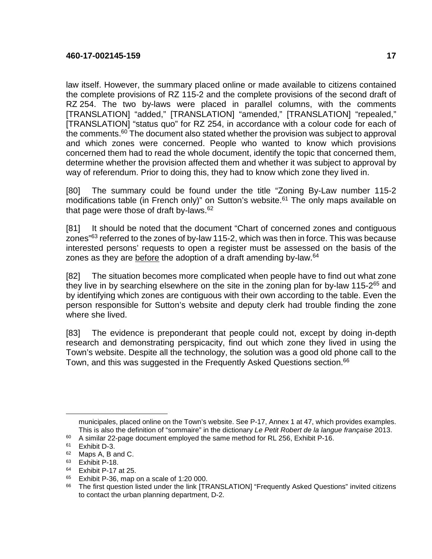law itself. However, the summary placed online or made available to citizens contained the complete provisions of RZ 115-2 and the complete provisions of the second draft of RZ 254. The two by-laws were placed in parallel columns, with the comments [TRANSLATION] "added," [TRANSLATION] "amended," [TRANSLATION] "repealed," [TRANSLATION] "status quo" for RZ 254, in accordance with a colour code for each of the comments. $60$  The document also stated whether the provision was subject to approval and which zones were concerned. People who wanted to know which provisions concerned them had to read the whole document, identify the topic that concerned them, determine whether the provision affected them and whether it was subject to approval by way of referendum. Prior to doing this, they had to know which zone they lived in.

[80] The summary could be found under the title "Zoning By-Law number 115-2 modifications table (in French only)" on Sutton's website.<sup>61</sup> The only maps available on that page were those of draft by-laws.<sup>62</sup>

[81] It should be noted that the document "Chart of concerned zones and contiguous zones<sup>"63</sup> referred to the zones of by-law 115-2, which was then in force. This was because interested persons' requests to open a register must be assessed on the basis of the zones as they are before the adoption of a draft amending by-law. $64$ 

[82] The situation becomes more complicated when people have to find out what zone they live in by searching elsewhere on the site in the zoning plan for by-law 115-2<sup>65</sup> and by identifying which zones are contiguous with their own according to the table. Even the person responsible for Sutton's website and deputy clerk had trouble finding the zone where she lived.

[83] The evidence is preponderant that people could not, except by doing in-depth research and demonstrating perspicacity, find out which zone they lived in using the Town's website. Despite all the technology, the solution was a good old phone call to the Town, and this was suggested in the Frequently Asked Questions section.<sup>66</sup>

municipales, placed online on the Town's website. See P-17, Annex 1 at 47, which provides examples. This is also the definition of "sommaire" in the dictionary Le Petit Robert de la langue française 2013.

<sup>60</sup> A similar 22-page document employed the same method for RL 256, Exhibit P-16.

<sup>61</sup> Exhibit D-3.

<sup>62</sup> Maps A, B and C.

<sup>63</sup> Exhibit P-18.

<sup>64</sup> Exhibit P-17 at 25.

 $65$  Exhibit P-36, map on a scale of 1:20 000.

<sup>&</sup>lt;sup>66</sup> The first question listed under the link [TRANSLATION] "Frequently Asked Questions" invited citizens to contact the urban planning department, D-2.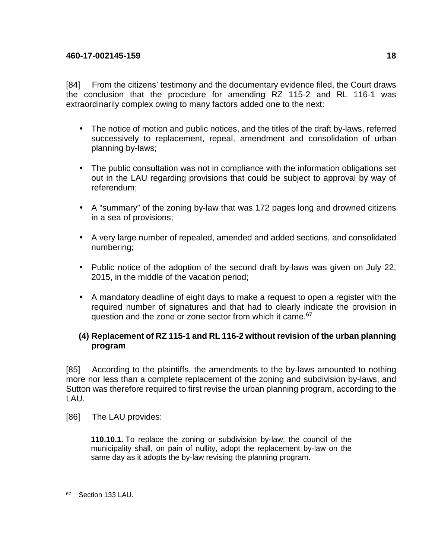[84] From the citizens' testimony and the documentary evidence filed, the Court draws the conclusion that the procedure for amending RZ 115-2 and RL 116-1 was extraordinarily complex owing to many factors added one to the next:

- The notice of motion and public notices, and the titles of the draft by-laws, referred successively to replacement, repeal, amendment and consolidation of urban planning by-laws;
- The public consultation was not in compliance with the information obligations set out in the LAU regarding provisions that could be subject to approval by way of referendum;
- A "summary" of the zoning by-law that was 172 pages long and drowned citizens in a sea of provisions;
- A very large number of repealed, amended and added sections, and consolidated numbering;
- Public notice of the adoption of the second draft by-laws was given on July 22, 2015, in the middle of the vacation period;
- A mandatory deadline of eight days to make a request to open a register with the required number of signatures and that had to clearly indicate the provision in question and the zone or zone sector from which it came.<sup>67</sup>

# **(4) Replacement of RZ 115-1 and RL 116-2 without revision of the urban planning program**

[85] According to the plaintiffs, the amendments to the by-laws amounted to nothing more nor less than a complete replacement of the zoning and subdivision by-laws, and Sutton was therefore required to first revise the urban planning program, according to the LAU.

[86] The LAU provides:

**110.10.1.** To replace the zoning or subdivision by-law, the council of the municipality shall, on pain of nullity, adopt the replacement by-law on the same day as it adopts the by-law revising the planning program.

<sup>&</sup>lt;sup>67</sup> Section 133 LAU.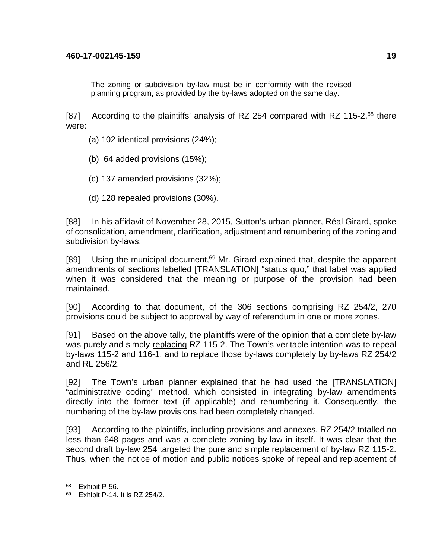The zoning or subdivision by-law must be in conformity with the revised planning program, as provided by the by-laws adopted on the same day.

[87] According to the plaintiffs' analysis of RZ 254 compared with RZ 115-2,<sup>68</sup> there were:

- (a) 102 identical provisions (24%);
- (b) 64 added provisions (15%);
- (c) 137 amended provisions (32%);
- (d) 128 repealed provisions (30%).

[88] In his affidavit of November 28, 2015, Sutton's urban planner, Réal Girard, spoke of consolidation, amendment, clarification, adjustment and renumbering of the zoning and subdivision by-laws.

[89] Using the municipal document, $69$  Mr. Girard explained that, despite the apparent amendments of sections labelled [TRANSLATION] "status quo," that label was applied when it was considered that the meaning or purpose of the provision had been maintained.

[90] According to that document, of the 306 sections comprising RZ 254/2, 270 provisions could be subject to approval by way of referendum in one or more zones.

[91] Based on the above tally, the plaintiffs were of the opinion that a complete by-law was purely and simply replacing RZ 115-2. The Town's veritable intention was to repeal by-laws 115-2 and 116-1, and to replace those by-laws completely by by-laws RZ 254/2 and RL 256/2.

[92] The Town's urban planner explained that he had used the [TRANSLATION] "administrative coding" method, which consisted in integrating by-law amendments directly into the former text (if applicable) and renumbering it. Consequently, the numbering of the by-law provisions had been completely changed.

[93] According to the plaintiffs, including provisions and annexes, RZ 254/2 totalled no less than 648 pages and was a complete zoning by-law in itself. It was clear that the second draft by-law 254 targeted the pure and simple replacement of by-law RZ 115-2. Thus, when the notice of motion and public notices spoke of repeal and replacement of

<sup>68</sup> Exhibit P-56.

<sup>69</sup> Exhibit P-14. It is RZ 254/2.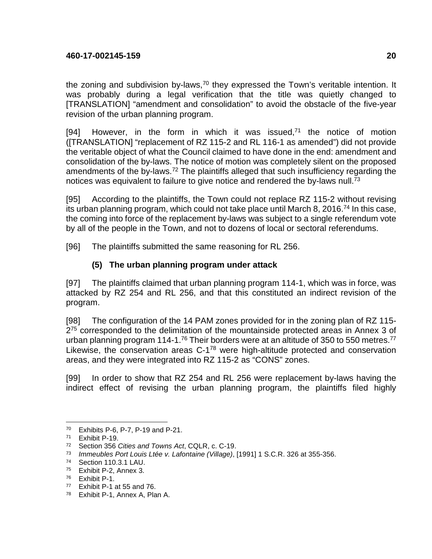the zoning and subdivision by-laws,  $70$  they expressed the Town's veritable intention. It was probably during a legal verification that the title was quietly changed to [TRANSLATION] "amendment and consolidation" to avoid the obstacle of the five-year revision of the urban planning program.

[94] However, in the form in which it was issued, $71$  the notice of motion ([TRANSLATION] "replacement of RZ 115-2 and RL 116-1 as amended") did not provide the veritable object of what the Council claimed to have done in the end: amendment and consolidation of the by-laws. The notice of motion was completely silent on the proposed amendments of the by-laws.<sup>72</sup> The plaintiffs alleged that such insufficiency regarding the notices was equivalent to failure to give notice and rendered the by-laws null.<sup>73</sup>

[95] According to the plaintiffs, the Town could not replace RZ 115-2 without revising its urban planning program, which could not take place until March 8, 2016.<sup>74</sup> In this case, the coming into force of the replacement by-laws was subject to a single referendum vote by all of the people in the Town, and not to dozens of local or sectoral referendums.

[96] The plaintiffs submitted the same reasoning for RL 256.

# **(5) The urban planning program under attack**

[97] The plaintiffs claimed that urban planning program 114-1, which was in force, was attacked by RZ 254 and RL 256, and that this constituted an indirect revision of the program.

[98] The configuration of the 14 PAM zones provided for in the zoning plan of RZ 115- 2<sup>75</sup> corresponded to the delimitation of the mountainside protected areas in Annex 3 of urban planning program 114-1.<sup>76</sup> Their borders were at an altitude of 350 to 550 metres.<sup>77</sup> Likewise, the conservation areas C-1<sup>78</sup> were high-altitude protected and conservation areas, and they were integrated into RZ 115-2 as "CONS" zones.

[99] In order to show that RZ 254 and RL 256 were replacement by-laws having the indirect effect of revising the urban planning program, the plaintiffs filed highly

<sup>&</sup>lt;u>.</u> <sup>70</sup> Exhibits P-6, P-7, P-19 and P-21.

<sup>71</sup> Exhibit P-19.

<sup>&</sup>lt;sup>72</sup> Section 356 Cities and Towns Act, CQLR, c. C-19.

<sup>73</sup> Immeubles Port Louis Ltée v. Lafontaine (Village), [1991] 1 S.C.R. 326 at 355-356.

<sup>74</sup> Section 110.3.1 LAU.

<sup>75</sup> Exhibit P-2, Annex 3.

<sup>76</sup> Exhibit P-1.

<sup>77</sup> Exhibit P-1 at 55 and 76.

<sup>78</sup> Exhibit P-1, Annex A, Plan A.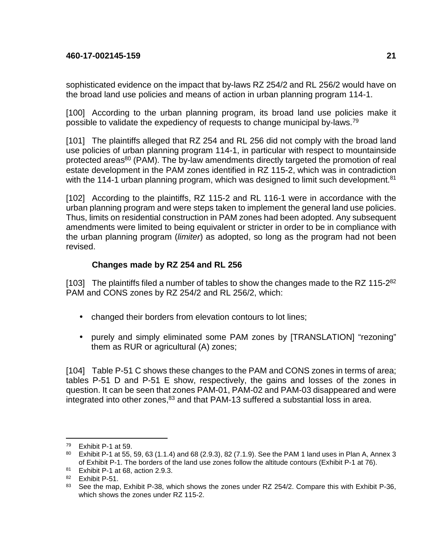sophisticated evidence on the impact that by-laws RZ 254/2 and RL 256/2 would have on the broad land use policies and means of action in urban planning program 114-1.

[100] According to the urban planning program, its broad land use policies make it possible to validate the expediency of requests to change municipal by-laws.<sup>79</sup>

[101] The plaintiffs alleged that RZ 254 and RL 256 did not comply with the broad land use policies of urban planning program 114-1, in particular with respect to mountainside protected areas<sup>80</sup> (PAM). The by-law amendments directly targeted the promotion of real estate development in the PAM zones identified in RZ 115-2, which was in contradiction with the 114-1 urban planning program, which was designed to limit such development.<sup>81</sup>

[102] According to the plaintiffs, RZ 115-2 and RL 116-1 were in accordance with the urban planning program and were steps taken to implement the general land use policies. Thus, limits on residential construction in PAM zones had been adopted. Any subsequent amendments were limited to being equivalent or stricter in order to be in compliance with the urban planning program (*limiter*) as adopted, so long as the program had not been revised.

# **Changes made by RZ 254 and RL 256**

[103] The plaintiffs filed a number of tables to show the changes made to the RZ 115-2<sup>82</sup> PAM and CONS zones by RZ 254/2 and RL 256/2, which:

- changed their borders from elevation contours to lot lines;
- purely and simply eliminated some PAM zones by [TRANSLATION] "rezoning" them as RUR or agricultural (A) zones;

[104] Table P-51 C shows these changes to the PAM and CONS zones in terms of area; tables P-51 D and P-51 E show, respectively, the gains and losses of the zones in question. It can be seen that zones PAM-01, PAM-02 and PAM-03 disappeared and were integrated into other zones, $83$  and that PAM-13 suffered a substantial loss in area.

<sup>79</sup> Exhibit P-1 at 59.

<sup>80</sup> Exhibit P-1 at 55, 59, 63 (1.1.4) and 68 (2.9.3), 82 (7.1.9). See the PAM 1 land uses in Plan A, Annex 3 of Exhibit P-1. The borders of the land use zones follow the altitude contours (Exhibit P-1 at 76).

<sup>81</sup> Exhibit P-1 at 68, action 2.9.3.

<sup>82</sup> Exhibit P-51.

<sup>&</sup>lt;sup>83</sup> See the map, Exhibit P-38, which shows the zones under RZ 254/2. Compare this with Exhibit P-36, which shows the zones under RZ 115-2.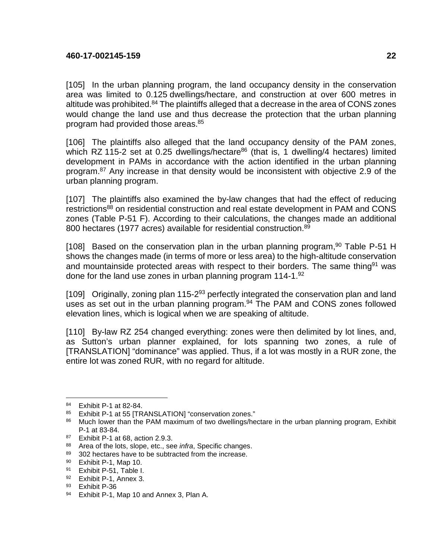[105] In the urban planning program, the land occupancy density in the conservation area was limited to 0.125 dwellings/hectare, and construction at over 600 metres in altitude was prohibited.<sup>84</sup> The plaintiffs alleged that a decrease in the area of CONS zones would change the land use and thus decrease the protection that the urban planning program had provided those areas.<sup>85</sup>

[106] The plaintiffs also alleged that the land occupancy density of the PAM zones, which RZ 115-2 set at 0.25 dwellings/hectare<sup>86</sup> (that is, 1 dwelling/4 hectares) limited development in PAMs in accordance with the action identified in the urban planning program.<sup>87</sup> Any increase in that density would be inconsistent with objective 2.9 of the urban planning program.

[107] The plaintiffs also examined the by-law changes that had the effect of reducing restrictions<sup>88</sup> on residential construction and real estate development in PAM and CONS zones (Table P-51 F). According to their calculations, the changes made an additional 800 hectares (1977 acres) available for residential construction.<sup>89</sup>

[108] Based on the conservation plan in the urban planning program,  $90$  Table P-51 H shows the changes made (in terms of more or less area) to the high-altitude conservation and mountainside protected areas with respect to their borders. The same thing<sup>91</sup> was done for the land use zones in urban planning program 114-1.<sup>92</sup>

[109] Originally, zoning plan 115-2<sup>93</sup> perfectly integrated the conservation plan and land uses as set out in the urban planning program.<sup>94</sup> The PAM and CONS zones followed elevation lines, which is logical when we are speaking of altitude.

[110] By-law RZ 254 changed everything: zones were then delimited by lot lines, and, as Sutton's urban planner explained, for lots spanning two zones, a rule of [TRANSLATION] "dominance" was applied. Thus, if a lot was mostly in a RUR zone, the entire lot was zoned RUR, with no regard for altitude.

<sup>1</sup> 84 Exhibit P-1 at 82-84.<br>85 Exhibit P-1 at 55 ITR

Exhibit P-1 at 55 [TRANSLATION] "conservation zones."

<sup>&</sup>lt;sup>86</sup> Much lower than the PAM maximum of two dwellings/hectare in the urban planning program, Exhibit P-1 at 83-84.

<sup>87</sup> Exhibit P-1 at 68, action 2.9.3.

<sup>88</sup> Area of the lots, slope, etc., see *infra*, Specific changes.<br>89 302 bectares have to be subtracted from the increase.

<sup>302</sup> hectares have to be subtracted from the increase.

<sup>90</sup> Exhibit P-1, Map 10.

<sup>91</sup> Exhibit P-51, Table I.

<sup>92</sup> Exhibit P-1, Annex 3.

<sup>93</sup> Exhibit P-36

<sup>94</sup> Exhibit P-1, Map 10 and Annex 3, Plan A.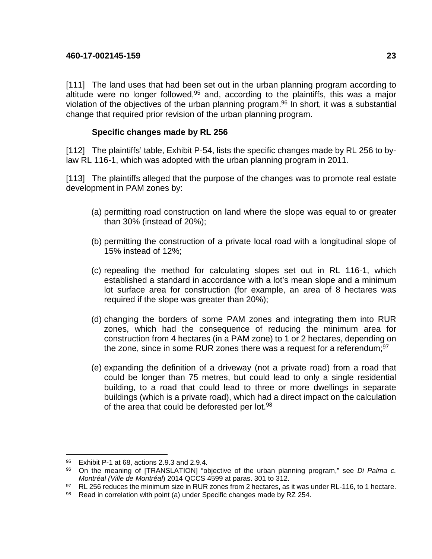[111] The land uses that had been set out in the urban planning program according to altitude were no longer followed, $95$  and, according to the plaintiffs, this was a major violation of the objectives of the urban planning program.<sup>96</sup> In short, it was a substantial change that required prior revision of the urban planning program.

# **Specific changes made by RL 256**

[112] The plaintiffs' table, Exhibit P-54, lists the specific changes made by RL 256 to bylaw RL 116-1, which was adopted with the urban planning program in 2011.

[113] The plaintiffs alleged that the purpose of the changes was to promote real estate development in PAM zones by:

- (a) permitting road construction on land where the slope was equal to or greater than 30% (instead of 20%);
- (b) permitting the construction of a private local road with a longitudinal slope of 15% instead of 12%;
- (c) repealing the method for calculating slopes set out in RL 116-1, which established a standard in accordance with a lot's mean slope and a minimum lot surface area for construction (for example, an area of 8 hectares was required if the slope was greater than 20%);
- (d) changing the borders of some PAM zones and integrating them into RUR zones, which had the consequence of reducing the minimum area for construction from 4 hectares (in a PAM zone) to 1 or 2 hectares, depending on the zone, since in some RUR zones there was a request for a referendum; $97$
- (e) expanding the definition of a driveway (not a private road) from a road that could be longer than 75 metres, but could lead to only a single residential building, to a road that could lead to three or more dwellings in separate buildings (which is a private road), which had a direct impact on the calculation of the area that could be deforested per lot.<sup>98</sup>

<sup>1</sup>  $95$  Exhibit P-1 at 68, actions 2.9.3 and 2.9.4.<br> $96$  On the meaning of ITRANSI ATIONI "of

On the meaning of [TRANSLATION] "objective of the urban planning program," see Di Palma c. Montréal (Ville de Montréal) 2014 QCCS 4599 at paras. 301 to 312.

<sup>97</sup> RL 256 reduces the minimum size in RUR zones from 2 hectares, as it was under RL-116, to 1 hectare.

<sup>98</sup> Read in correlation with point (a) under Specific changes made by RZ 254.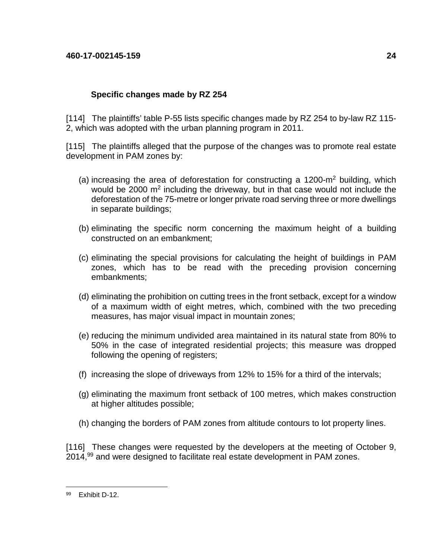# **Specific changes made by RZ 254**

[114] The plaintiffs' table P-55 lists specific changes made by RZ 254 to by-law RZ 115- 2, which was adopted with the urban planning program in 2011.

[115] The plaintiffs alleged that the purpose of the changes was to promote real estate development in PAM zones by:

- (a) increasing the area of deforestation for constructing a 1200-m<sup>2</sup> building, which would be 2000  $m^2$  including the driveway, but in that case would not include the deforestation of the 75-metre or longer private road serving three or more dwellings in separate buildings;
- (b) eliminating the specific norm concerning the maximum height of a building constructed on an embankment;
- (c) eliminating the special provisions for calculating the height of buildings in PAM zones, which has to be read with the preceding provision concerning embankments;
- (d) eliminating the prohibition on cutting trees in the front setback, except for a window of a maximum width of eight metres, which, combined with the two preceding measures, has major visual impact in mountain zones;
- (e) reducing the minimum undivided area maintained in its natural state from 80% to 50% in the case of integrated residential projects; this measure was dropped following the opening of registers;
- (f) increasing the slope of driveways from 12% to 15% for a third of the intervals;
- (g) eliminating the maximum front setback of 100 metres, which makes construction at higher altitudes possible;
- (h) changing the borders of PAM zones from altitude contours to lot property lines.

[116] These changes were requested by the developers at the meeting of October 9, 2014,<sup>99</sup> and were designed to facilitate real estate development in PAM zones.

<sup>1</sup> 99 Exhibit D-12.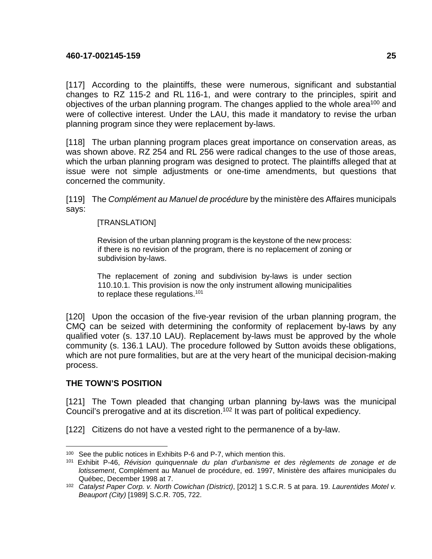[117] According to the plaintiffs, these were numerous, significant and substantial changes to RZ 115-2 and RL 116-1, and were contrary to the principles, spirit and objectives of the urban planning program. The changes applied to the whole area<sup>100</sup> and were of collective interest. Under the LAU, this made it mandatory to revise the urban planning program since they were replacement by-laws.

[118] The urban planning program places great importance on conservation areas, as was shown above. RZ 254 and RL 256 were radical changes to the use of those areas, which the urban planning program was designed to protect. The plaintiffs alleged that at issue were not simple adjustments or one-time amendments, but questions that concerned the community.

[119] The Complément au Manuel de procédure by the ministère des Affaires municipals says:

## [TRANSLATION]

Revision of the urban planning program is the keystone of the new process: if there is no revision of the program, there is no replacement of zoning or subdivision by-laws.

The replacement of zoning and subdivision by-laws is under section 110.10.1. This provision is now the only instrument allowing municipalities to replace these regulations.<sup>101</sup>

[120] Upon the occasion of the five-year revision of the urban planning program, the CMQ can be seized with determining the conformity of replacement by-laws by any qualified voter (s. 137.10 LAU). Replacement by-laws must be approved by the whole community (s. 136.1 LAU). The procedure followed by Sutton avoids these obligations, which are not pure formalities, but are at the very heart of the municipal decision-making process.

# **THE TOWN'S POSITION**

[121] The Town pleaded that changing urban planning by-laws was the municipal Council's prerogative and at its discretion.<sup>102</sup> It was part of political expediency.

[122] Citizens do not have a vested right to the permanence of a by-law.

<sup>1</sup> <sup>100</sup> See the public notices in Exhibits P-6 and P-7, which mention this.

<sup>101</sup> Exhibit P-46, Révision quinquennale du plan d'urbanisme et des règlements de zonage et de lotissement, Complément au Manuel de procédure, ed. 1997, Ministère des affaires municipales du Québec, December 1998 at 7.

<sup>&</sup>lt;sup>102</sup> Catalyst Paper Corp. v. North Cowichan (District), [2012] 1 S.C.R. 5 at para. 19. Laurentides Motel v. Beauport (City) [1989] S.C.R. 705, 722.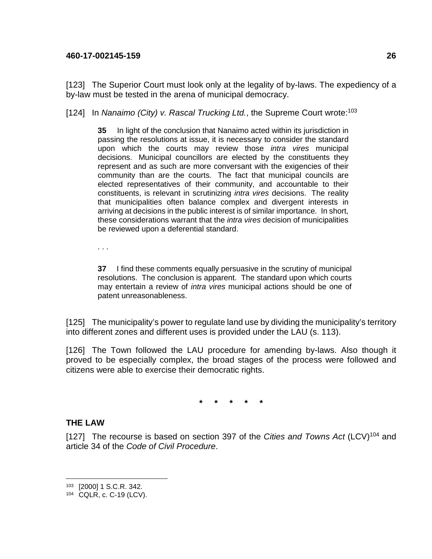[123] The Superior Court must look only at the legality of by-laws. The expediency of a by-law must be tested in the arena of municipal democracy.

[124] In Nanaimo (City) v. Rascal Trucking Ltd., the Supreme Court wrote:<sup>103</sup>

**35** In light of the conclusion that Nanaimo acted within its jurisdiction in passing the resolutions at issue, it is necessary to consider the standard upon which the courts may review those intra vires municipal decisions. Municipal councillors are elected by the constituents they represent and as such are more conversant with the exigencies of their community than are the courts. The fact that municipal councils are elected representatives of their community, and accountable to their constituents, is relevant in scrutinizing intra vires decisions. The reality that municipalities often balance complex and divergent interests in arriving at decisions in the public interest is of similar importance. In short, these considerations warrant that the intra vires decision of municipalities be reviewed upon a deferential standard.

. . .

**37** I find these comments equally persuasive in the scrutiny of municipal resolutions. The conclusion is apparent. The standard upon which courts may entertain a review of *intra vires* municipal actions should be one of patent unreasonableness.

[125] The municipality's power to regulate land use by dividing the municipality's territory into different zones and different uses is provided under the LAU (s. 113).

[126] The Town followed the LAU procedure for amending by-laws. Also though it proved to be especially complex, the broad stages of the process were followed and citizens were able to exercise their democratic rights.

**\* \* \* \* \*** 

# **THE LAW**

1

[127] The recourse is based on section 397 of the Cities and Towns Act  $(LCV)^{104}$  and article 34 of the Code of Civil Procedure.

<sup>103</sup> [2000] 1 S.C.R. 342.

<sup>104</sup> CQLR, c. C-19 (LCV).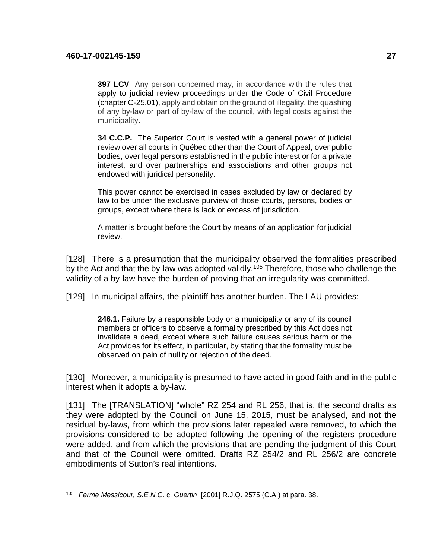1

**397 LCV** Any person concerned may, in accordance with the rules that apply to judicial review proceedings under the Code of Civil Procedure (chapter C‐25.01), apply and obtain on the ground of illegality, the quashing of any by-law or part of by-law of the council, with legal costs against the municipality.

**34 C.C.P.** The Superior Court is vested with a general power of judicial review over all courts in Québec other than the Court of Appeal, over public bodies, over legal persons established in the public interest or for a private interest, and over partnerships and associations and other groups not endowed with juridical personality.

This power cannot be exercised in cases excluded by law or declared by law to be under the exclusive purview of those courts, persons, bodies or groups, except where there is lack or excess of jurisdiction.

A matter is brought before the Court by means of an application for judicial review.

[128] There is a presumption that the municipality observed the formalities prescribed by the Act and that the by-law was adopted validly.<sup>105</sup> Therefore, those who challenge the validity of a by-law have the burden of proving that an irregularity was committed.

[129] In municipal affairs, the plaintiff has another burden. The LAU provides:

**246.1.** Failure by a responsible body or a municipality or any of its council members or officers to observe a formality prescribed by this Act does not invalidate a deed, except where such failure causes serious harm or the Act provides for its effect, in particular, by stating that the formality must be observed on pain of nullity or rejection of the deed.

[130] Moreover, a municipality is presumed to have acted in good faith and in the public interest when it adopts a by-law.

[131] The [TRANSLATION] "whole" RZ 254 and RL 256, that is, the second drafts as they were adopted by the Council on June 15, 2015, must be analysed, and not the residual by-laws, from which the provisions later repealed were removed, to which the provisions considered to be adopted following the opening of the registers procedure were added, and from which the provisions that are pending the judgment of this Court and that of the Council were omitted. Drafts RZ 254/2 and RL 256/2 are concrete embodiments of Sutton's real intentions.

<sup>105</sup> Ferme Messicour, S.E.N.C. c. Guertin [2001] R.J.Q. 2575 (C.A.) at para. 38.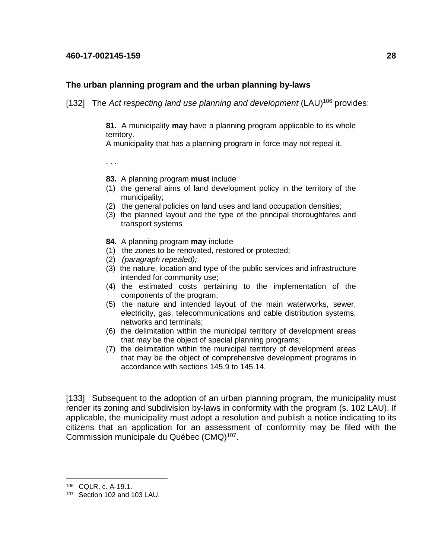## **The urban planning program and the urban planning by-laws**

[132] The Act respecting land use planning and development  $(LAU)^{106}$  provides:

**81.** A municipality **may** have a planning program applicable to its whole territory.

A municipality that has a planning program in force may not repeal it.

. . .

- **83.** A planning program **must** include
- (1) the general aims of land development policy in the territory of the municipality;
- (2) the general policies on land uses and land occupation densities;
- (3) the planned layout and the type of the principal thoroughfares and transport systems
- **84.** A planning program **may** include
- (1) the zones to be renovated, restored or protected;
- (2) (paragraph repealed);
- (3) the nature, location and type of the public services and infrastructure intended for community use;
- (4) the estimated costs pertaining to the implementation of the components of the program;
- (5) the nature and intended layout of the main waterworks, sewer, electricity, gas, telecommunications and cable distribution systems, networks and terminals;
- (6) the delimitation within the municipal territory of development areas that may be the object of special planning programs;
- (7) the delimitation within the municipal territory of development areas that may be the object of comprehensive development programs in accordance with sections 145.9 to 145.14.

[133] Subsequent to the adoption of an urban planning program, the municipality must render its zoning and subdivision by-laws in conformity with the program (s. 102 LAU). If applicable, the municipality must adopt a resolution and publish a notice indicating to its citizens that an application for an assessment of conformity may be filed with the Commission municipale du Québec (CMQ)<sup>107</sup>.

<sup>106</sup> CQLR, c. A-19.1.

<sup>107</sup> Section 102 and 103 LAU.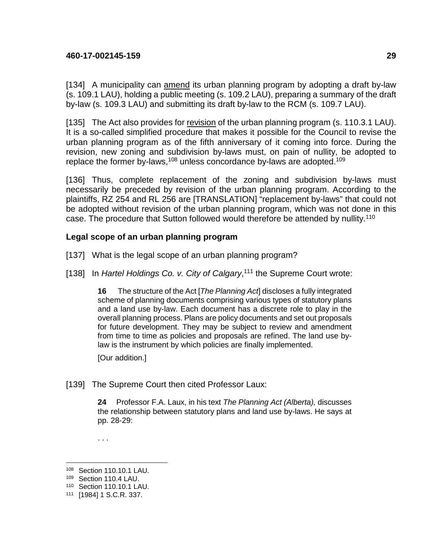[134] A municipality can amend its urban planning program by adopting a draft by-law (s. 109.1 LAU), holding a public meeting (s. 109.2 LAU), preparing a summary of the draft by-law (s. 109.3 LAU) and submitting its draft by-law to the RCM (s. 109.7 LAU).

[135] The Act also provides for revision of the urban planning program (s. 110.3.1 LAU). It is a so-called simplified procedure that makes it possible for the Council to revise the urban planning program as of the fifth anniversary of it coming into force. During the revision, new zoning and subdivision by-laws must, on pain of nullity, be adopted to replace the former by-laws,  $108$  unless concordance by-laws are adopted.<sup>109</sup>

[136] Thus, complete replacement of the zoning and subdivision by-laws must necessarily be preceded by revision of the urban planning program. According to the plaintiffs, RZ 254 and RL 256 are [TRANSLATION] "replacement by-laws" that could not be adopted without revision of the urban planning program, which was not done in this case. The procedure that Sutton followed would therefore be attended by nullity.<sup>110</sup>

## **Legal scope of an urban planning program**

- [137] What is the legal scope of an urban planning program?
- [138] In Hartel Holdings Co. v. City of Calgary,<sup>111</sup> the Supreme Court wrote:

**16** The structure of the Act [The Planning Act] discloses a fully integrated scheme of planning documents comprising various types of statutory plans and a land use by-law. Each document has a discrete role to play in the overall planning process. Plans are policy documents and set out proposals for future development. They may be subject to review and amendment from time to time as policies and proposals are refined. The land use bylaw is the instrument by which policies are finally implemented.

[Our addition.]

[139] The Supreme Court then cited Professor Laux:

**24** Professor F.A. Laux, in his text The Planning Act (Alberta), discusses the relationship between statutory plans and land use by-laws. He says at pp. 28-29:

. . .

<sup>108</sup> Section 110.10.1 LAU.

<sup>109</sup> Section 110.4 LAU.

<sup>110</sup> Section 110.10.1 LAU.

<sup>111</sup> [1984] 1 S.C.R. 337.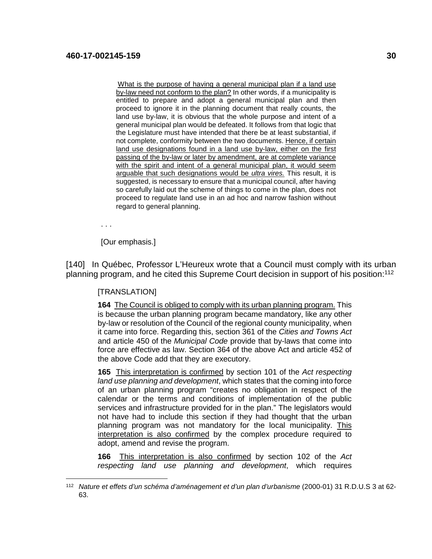What is the purpose of having a general municipal plan if a land use by-law need not conform to the plan? In other words, if a municipality is entitled to prepare and adopt a general municipal plan and then proceed to ignore it in the planning document that really counts, the land use by-law, it is obvious that the whole purpose and intent of a general municipal plan would be defeated. It follows from that logic that the Legislature must have intended that there be at least substantial, if not complete, conformity between the two documents. Hence, if certain land use designations found in a land use by-law, either on the first passing of the by-law or later by amendment, are at complete variance with the spirit and intent of a general municipal plan, it would seem arguable that such designations would be ultra vires. This result, it is suggested, is necessary to ensure that a municipal council, after having so carefully laid out the scheme of things to come in the plan, does not proceed to regulate land use in an ad hoc and narrow fashion without regard to general planning.

. . .

1

[Our emphasis.]

[140] In Québec, Professor L'Heureux wrote that a Council must comply with its urban planning program, and he cited this Supreme Court decision in support of his position:<sup>112</sup>

#### **ITRANSLATIONI**

**164** The Council is obliged to comply with its urban planning program. This is because the urban planning program became mandatory, like any other by-law or resolution of the Council of the regional county municipality, when it came into force. Regarding this, section 361 of the Cities and Towns Act and article 450 of the Municipal Code provide that by-laws that come into force are effective as law. Section 364 of the above Act and article 452 of the above Code add that they are executory.

**165** This interpretation is confirmed by section 101 of the Act respecting land use planning and development, which states that the coming into force of an urban planning program "creates no obligation in respect of the calendar or the terms and conditions of implementation of the public services and infrastructure provided for in the plan." The legislators would not have had to include this section if they had thought that the urban planning program was not mandatory for the local municipality. This interpretation is also confirmed by the complex procedure required to adopt, amend and revise the program.

**166** This interpretation is also confirmed by section 102 of the Act respecting land use planning and development, which requires

<sup>&</sup>lt;sup>112</sup> Nature et effets d'un schéma d'aménagement et d'un plan d'urbanisme (2000-01) 31 R.D.U.S 3 at 62-63.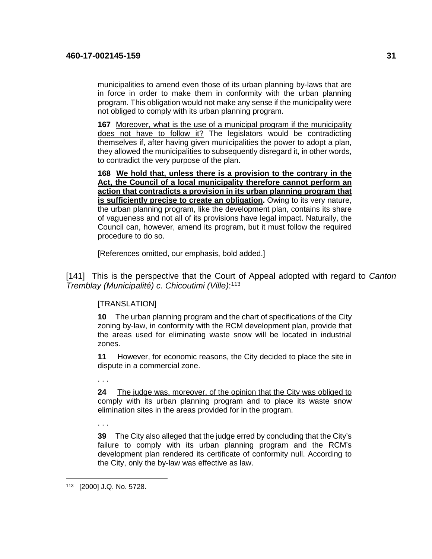municipalities to amend even those of its urban planning by-laws that are in force in order to make them in conformity with the urban planning program. This obligation would not make any sense if the municipality were not obliged to comply with its urban planning program.

**167** Moreover, what is the use of a municipal program if the municipality does not have to follow it? The legislators would be contradicting themselves if, after having given municipalities the power to adopt a plan, they allowed the municipalities to subsequently disregard it, in other words, to contradict the very purpose of the plan.

**168 We hold that, unless there is a provision to the contrary in the Act, the Council of a local municipality therefore cannot perform an action that contradicts a provision in its urban planning program that is sufficiently precise to create an obligation.** Owing to its very nature, the urban planning program, like the development plan, contains its share of vagueness and not all of its provisions have legal impact. Naturally, the Council can, however, amend its program, but it must follow the required procedure to do so.

[References omitted, our emphasis, bold added.]

[141] This is the perspective that the Court of Appeal adopted with regard to Canton Tremblay (Municipalité) c. Chicoutimi (Ville): 113

# **ITRANSLATIONI**

**10** The urban planning program and the chart of specifications of the City zoning by-law, in conformity with the RCM development plan, provide that the areas used for eliminating waste snow will be located in industrial zones.

**11** However, for economic reasons, the City decided to place the site in dispute in a commercial zone.

. . .

**24** The judge was, moreover, of the opinion that the City was obliged to comply with its urban planning program and to place its waste snow elimination sites in the areas provided for in the program.

. . .

**39** The City also alleged that the judge erred by concluding that the City's failure to comply with its urban planning program and the RCM's development plan rendered its certificate of conformity null. According to the City, only the by-law was effective as law.

<sup>1</sup> 113 [2000] J.Q. No. 5728.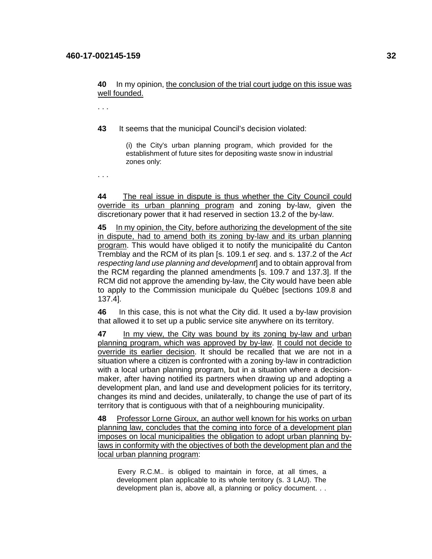. . .

**43** It seems that the municipal Council's decision violated:

(i) the City's urban planning program, which provided for the establishment of future sites for depositing waste snow in industrial zones only:

. . .

**44** The real issue in dispute is thus whether the City Council could override its urban planning program and zoning by-law, given the discretionary power that it had reserved in section 13.2 of the by-law.

**45** In my opinion, the City, before authorizing the development of the site in dispute, had to amend both its zoning by-law and its urban planning program. This would have obliged it to notify the municipalité du Canton Tremblay and the RCM of its plan [s. 109.1 et seq. and s. 137.2 of the Act respecting land use planning and development and to obtain approval from the RCM regarding the planned amendments [s. 109.7 and 137.3]. If the RCM did not approve the amending by-law, the City would have been able to apply to the Commission municipale du Québec [sections 109.8 and 137.4].

**46** In this case, this is not what the City did. It used a by-law provision that allowed it to set up a public service site anywhere on its territory.

**47** In my view, the City was bound by its zoning by-law and urban planning program, which was approved by by-law. It could not decide to override its earlier decision. It should be recalled that we are not in a situation where a citizen is confronted with a zoning by-law in contradiction with a local urban planning program, but in a situation where a decisionmaker, after having notified its partners when drawing up and adopting a development plan, and land use and development policies for its territory, changes its mind and decides, unilaterally, to change the use of part of its territory that is contiguous with that of a neighbouring municipality.

**48** Professor Lorne Giroux, an author well known for his works on urban planning law, concludes that the coming into force of a development plan imposes on local municipalities the obligation to adopt urban planning bylaws in conformity with the objectives of both the development plan and the local urban planning program:

Every R.C.M.. is obliged to maintain in force, at all times, a development plan applicable to its whole territory (s. 3 LAU). The development plan is, above all, a planning or policy document. . .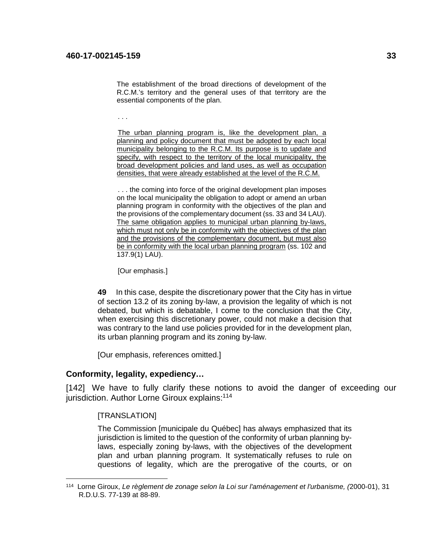The establishment of the broad directions of development of the R.C.M.'s territory and the general uses of that territory are the essential components of the plan.

. . .

The urban planning program is, like the development plan, a planning and policy document that must be adopted by each local municipality belonging to the R.C.M. Its purpose is to update and specify, with respect to the territory of the local municipality, the broad development policies and land uses, as well as occupation densities, that were already established at the level of the R.C.M.

... the coming into force of the original development plan imposes on the local municipality the obligation to adopt or amend an urban planning program in conformity with the objectives of the plan and the provisions of the complementary document (ss. 33 and 34 LAU). The same obligation applies to municipal urban planning by-laws, which must not only be in conformity with the objectives of the plan and the provisions of the complementary document, but must also be in conformity with the local urban planning program (ss. 102 and 137.9(1) LAU).

[Our emphasis.]

**49** In this case, despite the discretionary power that the City has in virtue of section 13.2 of its zoning by-law, a provision the legality of which is not debated, but which is debatable, I come to the conclusion that the City, when exercising this discretionary power, could not make a decision that was contrary to the land use policies provided for in the development plan, its urban planning program and its zoning by-law.

[Our emphasis, references omitted.]

#### **Conformity, legality, expediency…**

[142] We have to fully clarify these notions to avoid the danger of exceeding our jurisdiction. Author Lorne Giroux explains:<sup>114</sup>

[TRANSLATION]

1

The Commission [municipale du Québec] has always emphasized that its jurisdiction is limited to the question of the conformity of urban planning bylaws, especially zoning by-laws, with the objectives of the development plan and urban planning program. It systematically refuses to rule on questions of legality, which are the prerogative of the courts, or on

<sup>114</sup> Lorne Giroux, Le règlement de zonage selon la Loi sur l'aménagement et l'urbanisme, (2000-01), 31 R.D.U.S. 77-139 at 88-89.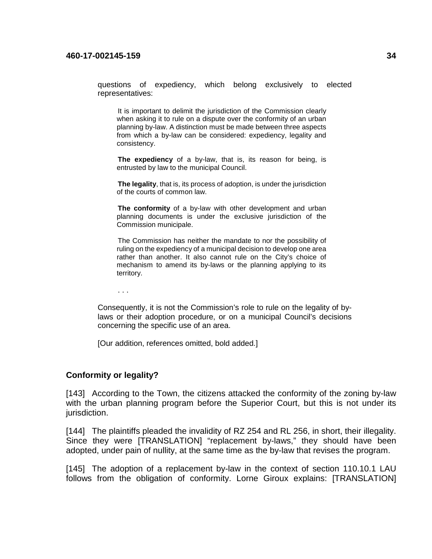questions of expediency, which belong exclusively to elected representatives:

It is important to delimit the jurisdiction of the Commission clearly when asking it to rule on a dispute over the conformity of an urban planning by-law. A distinction must be made between three aspects from which a by-law can be considered: expediency, legality and consistency.

**The expediency** of a by-law, that is, its reason for being, is entrusted by law to the municipal Council.

**The legality**, that is, its process of adoption, is under the jurisdiction of the courts of common law.

**The conformity** of a by-law with other development and urban planning documents is under the exclusive jurisdiction of the Commission municipale.

The Commission has neither the mandate to nor the possibility of ruling on the expediency of a municipal decision to develop one area rather than another. It also cannot rule on the City's choice of mechanism to amend its by-laws or the planning applying to its territory.

. . .

Consequently, it is not the Commission's role to rule on the legality of bylaws or their adoption procedure, or on a municipal Council's decisions concerning the specific use of an area.

[Our addition, references omitted, bold added.]

#### **Conformity or legality?**

[143] According to the Town, the citizens attacked the conformity of the zoning by-law with the urban planning program before the Superior Court, but this is not under its jurisdiction.

[144] The plaintiffs pleaded the invalidity of RZ 254 and RL 256, in short, their illegality. Since they were [TRANSLATION] "replacement by-laws," they should have been adopted, under pain of nullity, at the same time as the by-law that revises the program.

[145] The adoption of a replacement by-law in the context of section 110.10.1 LAU follows from the obligation of conformity. Lorne Giroux explains: [TRANSLATION]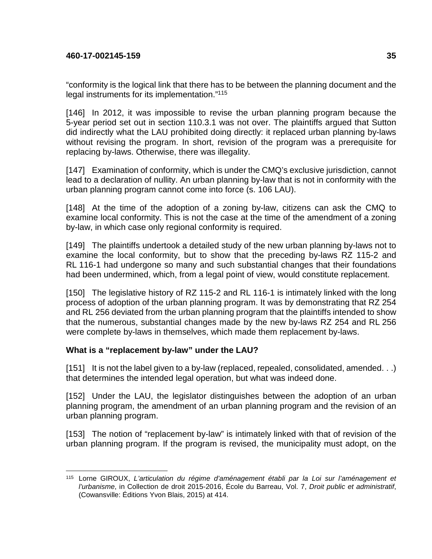"conformity is the logical link that there has to be between the planning document and the legal instruments for its implementation."<sup>115</sup>

[146] In 2012, it was impossible to revise the urban planning program because the 5-year period set out in section 110.3.1 was not over. The plaintiffs argued that Sutton did indirectly what the LAU prohibited doing directly: it replaced urban planning by-laws without revising the program. In short, revision of the program was a prerequisite for replacing by-laws. Otherwise, there was illegality.

[147] Examination of conformity, which is under the CMQ's exclusive jurisdiction, cannot lead to a declaration of nullity. An urban planning by-law that is not in conformity with the urban planning program cannot come into force (s. 106 LAU).

[148] At the time of the adoption of a zoning by-law, citizens can ask the CMQ to examine local conformity. This is not the case at the time of the amendment of a zoning by-law, in which case only regional conformity is required.

[149] The plaintiffs undertook a detailed study of the new urban planning by-laws not to examine the local conformity, but to show that the preceding by-laws RZ 115-2 and RL 116-1 had undergone so many and such substantial changes that their foundations had been undermined, which, from a legal point of view, would constitute replacement.

[150] The legislative history of RZ 115-2 and RL 116-1 is intimately linked with the long process of adoption of the urban planning program. It was by demonstrating that RZ 254 and RL 256 deviated from the urban planning program that the plaintiffs intended to show that the numerous, substantial changes made by the new by-laws RZ 254 and RL 256 were complete by-laws in themselves, which made them replacement by-laws.

# **What is a "replacement by-law" under the LAU?**

[151] It is not the label given to a by-law (replaced, repealed, consolidated, amended. . .) that determines the intended legal operation, but what was indeed done.

[152] Under the LAU, the legislator distinguishes between the adoption of an urban planning program, the amendment of an urban planning program and the revision of an urban planning program.

[153] The notion of "replacement by-law" is intimately linked with that of revision of the urban planning program. If the program is revised, the municipality must adopt, on the

<sup>&</sup>lt;u>.</u> <sup>115</sup> Lorne GIROUX, L'articulation du régime d'aménagement établi par la Loi sur l'aménagement et l'urbanisme, in Collection de droit 2015-2016, École du Barreau, Vol. 7, Droit public et administratif, (Cowansville: Éditions Yvon Blais, 2015) at 414.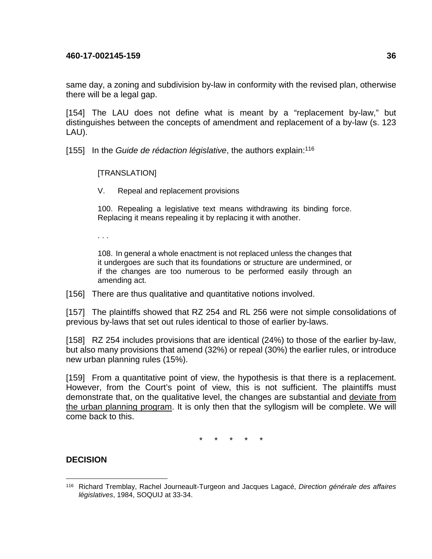same day, a zoning and subdivision by-law in conformity with the revised plan, otherwise there will be a legal gap.

[154] The LAU does not define what is meant by a "replacement by-law," but distinguishes between the concepts of amendment and replacement of a by-law (s. 123 LAU).

[155] In the Guide de rédaction législative, the authors explain:<sup>116</sup>

[TRANSLATION]

V. Repeal and replacement provisions

100. Repealing a legislative text means withdrawing its binding force. Replacing it means repealing it by replacing it with another.

. . .

108. In general a whole enactment is not replaced unless the changes that it undergoes are such that its foundations or structure are undermined, or if the changes are too numerous to be performed easily through an amending act.

[156] There are thus qualitative and quantitative notions involved.

[157] The plaintiffs showed that RZ 254 and RL 256 were not simple consolidations of previous by-laws that set out rules identical to those of earlier by-laws.

[158] RZ 254 includes provisions that are identical (24%) to those of the earlier by-law, but also many provisions that amend (32%) or repeal (30%) the earlier rules, or introduce new urban planning rules (15%).

[159] From a quantitative point of view, the hypothesis is that there is a replacement. However, from the Court's point of view, this is not sufficient. The plaintiffs must demonstrate that, on the qualitative level, the changes are substantial and deviate from the urban planning program. It is only then that the syllogism will be complete. We will come back to this.

\* \* \* \* \*

# **DECISION**

<sup>1</sup> <sup>116</sup> Richard Tremblay, Rachel Journeault-Turgeon and Jacques Lagacé, Direction générale des affaires législatives, 1984, SOQUIJ at 33-34.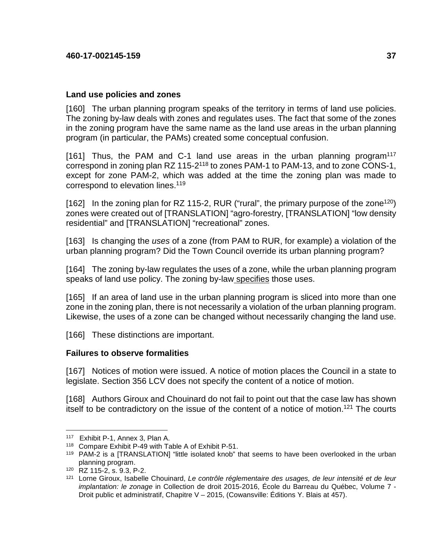## **Land use policies and zones**

[160] The urban planning program speaks of the territory in terms of land use policies. The zoning by-law deals with zones and regulates uses. The fact that some of the zones in the zoning program have the same name as the land use areas in the urban planning program (in particular, the PAMs) created some conceptual confusion.

[161] Thus, the PAM and C-1 land use areas in the urban planning program<sup>117</sup> correspond in zoning plan RZ 115-2<sup>118</sup> to zones PAM-1 to PAM-13, and to zone CONS-1, except for zone PAM-2, which was added at the time the zoning plan was made to correspond to elevation lines.<sup>119</sup>

[162] In the zoning plan for RZ 115-2, RUR ("rural", the primary purpose of the zone<sup>120</sup>) zones were created out of [TRANSLATION] "agro-forestry, [TRANSLATION] "low density residential" and [TRANSLATION] "recreational" zones.

[163] Is changing the uses of a zone (from PAM to RUR, for example) a violation of the urban planning program? Did the Town Council override its urban planning program?

[164] The zoning by-law regulates the uses of a zone, while the urban planning program speaks of land use policy. The zoning by-law specifies those uses.

[165] If an area of land use in the urban planning program is sliced into more than one zone in the zoning plan, there is not necessarily a violation of the urban planning program. Likewise, the uses of a zone can be changed without necessarily changing the land use.

[166] These distinctions are important.

#### **Failures to observe formalities**

[167] Notices of motion were issued. A notice of motion places the Council in a state to legislate. Section 356 LCV does not specify the content of a notice of motion.

[168] Authors Giroux and Chouinard do not fail to point out that the case law has shown itself to be contradictory on the issue of the content of a notice of motion.<sup>121</sup> The courts

<sup>117</sup> Exhibit P-1, Annex 3, Plan A.

<sup>118</sup> Compare Exhibit P-49 with Table A of Exhibit P-51.

<sup>&</sup>lt;sup>119</sup> PAM-2 is a [TRANSLATION] "little isolated knob" that seems to have been overlooked in the urban planning program.

<sup>120</sup> RZ 115-2, s. 9.3, P-2.

<sup>121</sup> Lorne Giroux, Isabelle Chouinard, Le contrôle réglementaire des usages, de leur intensité et de leur implantation: le zonage in Collection de droit 2015-2016, École du Barreau du Québec, Volume 7 - Droit public et administratif, Chapitre V – 2015, (Cowansville: Éditions Y. Blais at 457).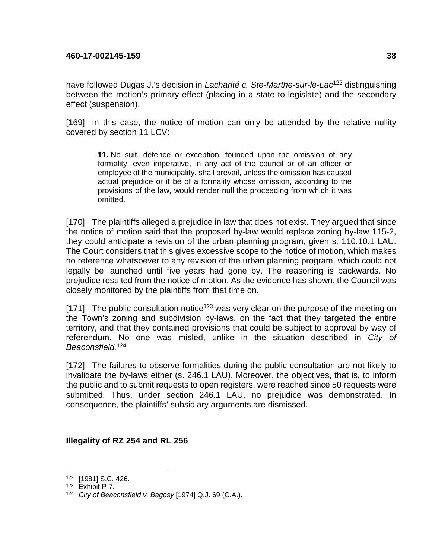have followed Dugas J.'s decision in *Lacharité c. Ste-Marthe-sur-le-Lac*<sup>122</sup> distinguishing between the motion's primary effect (placing in a state to legislate) and the secondary effect (suspension).

[169] In this case, the notice of motion can only be attended by the relative nullity covered by section 11 LCV:

**11.** No suit, defence or exception, founded upon the omission of any formality, even imperative, in any act of the council or of an officer or employee of the municipality, shall prevail, unless the omission has caused actual prejudice or it be of a formality whose omission, according to the provisions of the law, would render null the proceeding from which it was omitted.

[170] The plaintiffs alleged a prejudice in law that does not exist. They argued that since the notice of motion said that the proposed by-law would replace zoning by-law 115-2, they could anticipate a revision of the urban planning program, given s. 110.10.1 LAU. The Court considers that this gives excessive scope to the notice of motion, which makes no reference whatsoever to any revision of the urban planning program, which could not legally be launched until five years had gone by. The reasoning is backwards. No prejudice resulted from the notice of motion. As the evidence has shown, the Council was closely monitored by the plaintiffs from that time on.

[171] The public consultation notice<sup>123</sup> was very clear on the purpose of the meeting on the Town's zoning and subdivision by-laws, on the fact that they targeted the entire territory, and that they contained provisions that could be subject to approval by way of referendum. No one was misled, unlike in the situation described in City of Beaconsfield.<sup>124</sup>

[172] The failures to observe formalities during the public consultation are not likely to invalidate the by-laws either (s. 246.1 LAU). Moreover, the objectives, that is, to inform the public and to submit requests to open registers, were reached since 50 requests were submitted. Thus, under section 246.1 LAU, no prejudice was demonstrated. In consequence, the plaintiffs' subsidiary arguments are dismissed.

# **Illegality of RZ 254 and RL 256**

<u>.</u>

<sup>122</sup> [1981] S.C. 426.

<sup>123</sup> Exhibit P-7.

 $124$  City of Beaconsfield v. Bagosy [1974] Q.J. 69 (C.A.).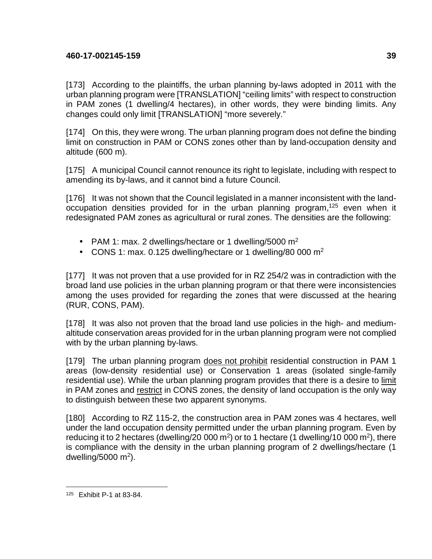[173] According to the plaintiffs, the urban planning by-laws adopted in 2011 with the urban planning program were [TRANSLATION] "ceiling limits" with respect to construction in PAM zones (1 dwelling/4 hectares), in other words, they were binding limits. Any changes could only limit [TRANSLATION] "more severely."

[174] On this, they were wrong. The urban planning program does not define the binding limit on construction in PAM or CONS zones other than by land-occupation density and altitude (600 m).

[175] A municipal Council cannot renounce its right to legislate, including with respect to amending its by-laws, and it cannot bind a future Council.

[176] It was not shown that the Council legislated in a manner inconsistent with the landoccupation densities provided for in the urban planning program,<sup>125</sup> even when it redesignated PAM zones as agricultural or rural zones. The densities are the following:

- PAM 1: max. 2 dwellings/hectare or 1 dwelling/5000  $m^2$
- CONS 1: max. 0.125 dwelling/hectare or 1 dwelling/80 000  $m^2$

[177] It was not proven that a use provided for in RZ 254/2 was in contradiction with the broad land use policies in the urban planning program or that there were inconsistencies among the uses provided for regarding the zones that were discussed at the hearing (RUR, CONS, PAM).

[178] It was also not proven that the broad land use policies in the high- and mediumaltitude conservation areas provided for in the urban planning program were not complied with by the urban planning by-laws.

[179] The urban planning program does not prohibit residential construction in PAM 1 areas (low-density residential use) or Conservation 1 areas (isolated single-family residential use). While the urban planning program provides that there is a desire to limit in PAM zones and restrict in CONS zones, the density of land occupation is the only way to distinguish between these two apparent synonyms.

[180] According to RZ 115-2, the construction area in PAM zones was 4 hectares, well under the land occupation density permitted under the urban planning program. Even by reducing it to 2 hectares (dwelling/20 000  $m^2$ ) or to 1 hectare (1 dwelling/10 000  $m^2$ ), there is compliance with the density in the urban planning program of 2 dwellings/hectare (1 dwelling/5000 m<sup>2</sup>).

<sup>1</sup> 125 Exhibit P-1 at 83-84.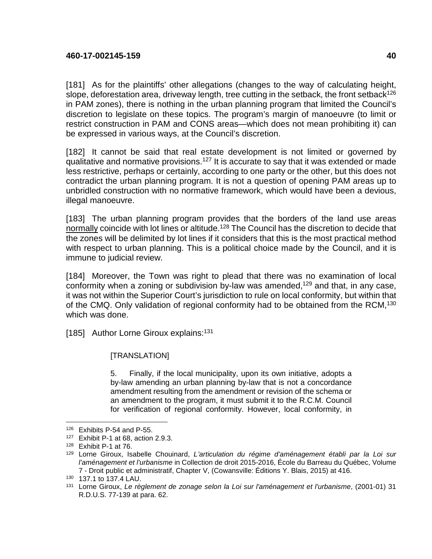[181] As for the plaintiffs' other allegations (changes to the way of calculating height, slope, deforestation area, driveway length, tree cutting in the setback, the front setback<sup>126</sup> in PAM zones), there is nothing in the urban planning program that limited the Council's discretion to legislate on these topics. The program's margin of manoeuvre (to limit or restrict construction in PAM and CONS areas—which does not mean prohibiting it) can be expressed in various ways, at the Council's discretion.

[182] It cannot be said that real estate development is not limited or governed by qualitative and normative provisions.<sup>127</sup> It is accurate to say that it was extended or made less restrictive, perhaps or certainly, according to one party or the other, but this does not contradict the urban planning program. It is not a question of opening PAM areas up to unbridled construction with no normative framework, which would have been a devious, illegal manoeuvre.

[183] The urban planning program provides that the borders of the land use areas normally coincide with lot lines or altitude.<sup>128</sup> The Council has the discretion to decide that the zones will be delimited by lot lines if it considers that this is the most practical method with respect to urban planning. This is a political choice made by the Council, and it is immune to judicial review.

[184] Moreover, the Town was right to plead that there was no examination of local conformity when a zoning or subdivision by-law was amended,<sup>129</sup> and that, in any case, it was not within the Superior Court's jurisdiction to rule on local conformity, but within that of the CMQ. Only validation of regional conformity had to be obtained from the RCM,<sup>130</sup> which was done.

[185] Author Lorne Giroux explains:<sup>131</sup>

#### [TRANSLATION]

5. Finally, if the local municipality, upon its own initiative, adopts a by-law amending an urban planning by-law that is not a concordance amendment resulting from the amendment or revision of the schema or an amendment to the program, it must submit it to the R.C.M. Council for verification of regional conformity. However, local conformity, in

<u>.</u>

<sup>126</sup> Exhibits P-54 and P-55.

<sup>127</sup> Exhibit P-1 at 68, action 2.9.3.

<sup>128</sup> Exhibit P-1 at 76.

<sup>129</sup> Lorne Giroux, Isabelle Chouinard, L'articulation du régime d'aménagement établi par la Loi sur l'aménagement et l'urbanisme in Collection de droit 2015-2016, École du Barreau du Québec, Volume 7 - Droit public et administratif, Chapter V, (Cowansville: Éditions Y. Blais, 2015) at 416.

<sup>130</sup> 137.1 to 137.4 LAU.

<sup>131</sup> Lorne Giroux, Le règlement de zonage selon la Loi sur l'aménagement et l'urbanisme, (2001-01) 31 R.D.U.S. 77-139 at para. 62.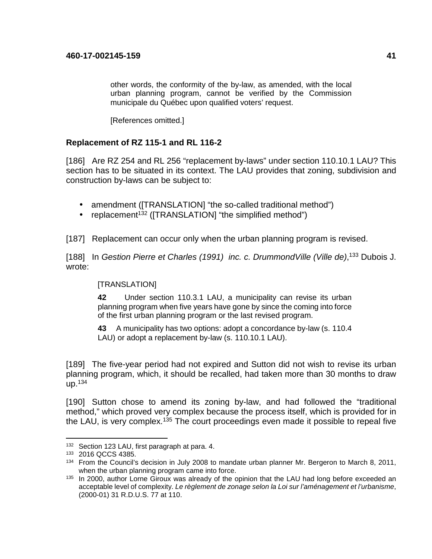other words, the conformity of the by-law, as amended, with the local urban planning program, cannot be verified by the Commission municipale du Québec upon qualified voters' request.

[References omitted.]

# **Replacement of RZ 115-1 and RL 116-2**

[186] Are RZ 254 and RL 256 "replacement by-laws" under section 110.10.1 LAU? This section has to be situated in its context. The LAU provides that zoning, subdivision and construction by-laws can be subject to:

- amendment ([TRANSLATION] "the so-called traditional method")
- replacement<sup>132</sup> ( $[TRANSLATION]$  "the simplified method")

[187] Replacement can occur only when the urban planning program is revised.

[188] In Gestion Pierre et Charles (1991) inc. c. DrummondVille (Ville de),<sup>133</sup> Dubois J. wrote:

# [TRANSLATION]

**42** Under section 110.3.1 LAU, a municipality can revise its urban planning program when five years have gone by since the coming into force of the first urban planning program or the last revised program.

**43** A municipality has two options: adopt a concordance by-law (s. 110.4 LAU) or adopt a replacement by-law (s. 110.10.1 LAU).

[189] The five-year period had not expired and Sutton did not wish to revise its urban planning program, which, it should be recalled, had taken more than 30 months to draw  $up.^{134}$ 

[190] Sutton chose to amend its zoning by-law, and had followed the "traditional method," which proved very complex because the process itself, which is provided for in the LAU, is very complex.<sup>135</sup> The court proceedings even made it possible to repeal five

<sup>132</sup> Section 123 LAU, first paragraph at para. 4.

<sup>133</sup> 2016 QCCS 4385.

<sup>&</sup>lt;sup>134</sup> From the Council's decision in July 2008 to mandate urban planner Mr. Bergeron to March 8, 2011, when the urban planning program came into force.

<sup>135</sup> In 2000, author Lorne Giroux was already of the opinion that the LAU had long before exceeded an acceptable level of complexity. Le règlement de zonage selon la Loi sur l'aménagement et l'urbanisme, (2000-01) 31 R.D.U.S. 77 at 110.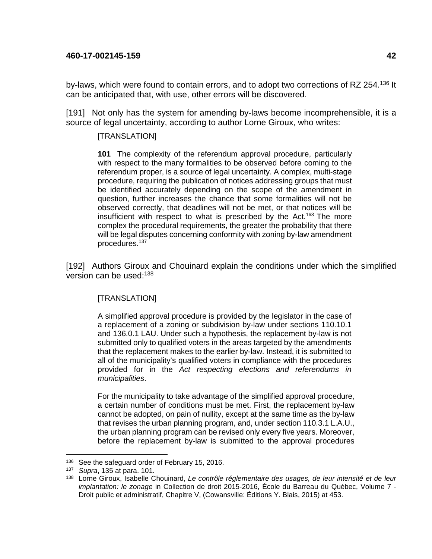by-laws, which were found to contain errors, and to adopt two corrections of RZ 254.<sup>136</sup> It can be anticipated that, with use, other errors will be discovered.

[191] Not only has the system for amending by-laws become incomprehensible, it is a source of legal uncertainty, according to author Lorne Giroux, who writes:

#### [TRANSLATION]

**101** The complexity of the referendum approval procedure, particularly with respect to the many formalities to be observed before coming to the referendum proper, is a source of legal uncertainty. A complex, multi-stage procedure, requiring the publication of notices addressing groups that must be identified accurately depending on the scope of the amendment in question, further increases the chance that some formalities will not be observed correctly, that deadlines will not be met, or that notices will be insufficient with respect to what is prescribed by the  $Act.^{163}$  The more complex the procedural requirements, the greater the probability that there will be legal disputes concerning conformity with zoning by-law amendment procedures.<sup>137</sup>

[192] Authors Giroux and Chouinard explain the conditions under which the simplified version can be used:<sup>138</sup>

#### [TRANSLATION]

A simplified approval procedure is provided by the legislator in the case of a replacement of a zoning or subdivision by-law under sections 110.10.1 and 136.0.1 LAU. Under such a hypothesis, the replacement by-law is not submitted only to qualified voters in the areas targeted by the amendments that the replacement makes to the earlier by-law. Instead, it is submitted to all of the municipality's qualified voters in compliance with the procedures provided for in the Act respecting elections and referendums in municipalities.

For the municipality to take advantage of the simplified approval procedure, a certain number of conditions must be met. First, the replacement by-law cannot be adopted, on pain of nullity, except at the same time as the by-law that revises the urban planning program, and, under section 110.3.1 L.A.U., the urban planning program can be revised only every five years. Moreover, before the replacement by-law is submitted to the approval procedures

<sup>1</sup> 136 See the safeguard order of February 15, 2016.

<sup>137</sup> Supra, 135 at para. 101.

<sup>138</sup> Lorne Giroux, Isabelle Chouinard, Le contrôle réglementaire des usages, de leur intensité et de leur implantation: le zonage in Collection de droit 2015-2016, École du Barreau du Québec, Volume 7 - Droit public et administratif, Chapitre V, (Cowansville: Éditions Y. Blais, 2015) at 453.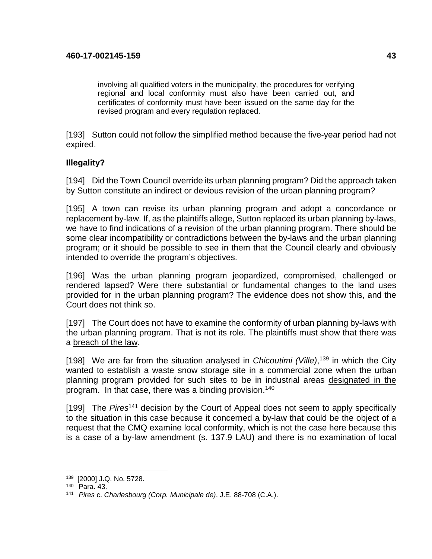involving all qualified voters in the municipality, the procedures for verifying regional and local conformity must also have been carried out, and certificates of conformity must have been issued on the same day for the revised program and every regulation replaced.

[193] Sutton could not follow the simplified method because the five-year period had not expired.

# **Illegality?**

[194] Did the Town Council override its urban planning program? Did the approach taken by Sutton constitute an indirect or devious revision of the urban planning program?

[195] A town can revise its urban planning program and adopt a concordance or replacement by-law. If, as the plaintiffs allege, Sutton replaced its urban planning by-laws, we have to find indications of a revision of the urban planning program. There should be some clear incompatibility or contradictions between the by-laws and the urban planning program; or it should be possible to see in them that the Council clearly and obviously intended to override the program's objectives.

[196] Was the urban planning program jeopardized, compromised, challenged or rendered lapsed? Were there substantial or fundamental changes to the land uses provided for in the urban planning program? The evidence does not show this, and the Court does not think so.

[197] The Court does not have to examine the conformity of urban planning by-laws with the urban planning program. That is not its role. The plaintiffs must show that there was a breach of the law.

[198] We are far from the situation analysed in *Chicoutimi (Ville)*,<sup>139</sup> in which the City wanted to establish a waste snow storage site in a commercial zone when the urban planning program provided for such sites to be in industrial areas designated in the program. In that case, there was a binding provision.<sup>140</sup>

[199] The  $Pires<sup>141</sup>$  decision by the Court of Appeal does not seem to apply specifically to the situation in this case because it concerned a by-law that could be the object of a request that the CMQ examine local conformity, which is not the case here because this is a case of a by-law amendment (s. 137.9 LAU) and there is no examination of local

<u>.</u>

<sup>139</sup> [2000] J.Q. No. 5728.

<sup>140</sup> Para. 43.

<sup>141</sup> Pires c. Charlesbourg (Corp. Municipale de), J.E. 88-708 (C.A.).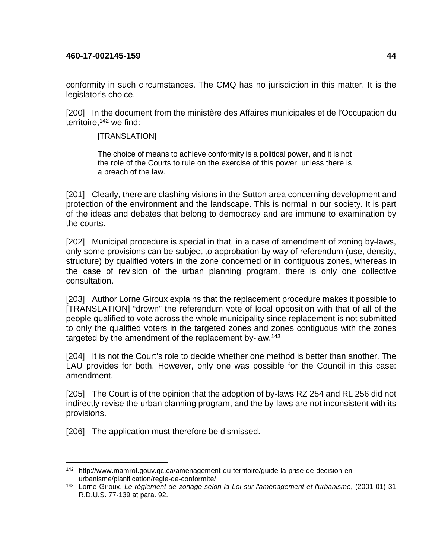conformity in such circumstances. The CMQ has no jurisdiction in this matter. It is the legislator's choice.

[200] In the document from the ministère des Affaires municipales et de l'Occupation du territoire,<sup>142</sup> we find:

[TRANSLATION]

The choice of means to achieve conformity is a political power, and it is not the role of the Courts to rule on the exercise of this power, unless there is a breach of the law.

[201] Clearly, there are clashing visions in the Sutton area concerning development and protection of the environment and the landscape. This is normal in our society. It is part of the ideas and debates that belong to democracy and are immune to examination by the courts.

[202] Municipal procedure is special in that, in a case of amendment of zoning by-laws, only some provisions can be subject to approbation by way of referendum (use, density, structure) by qualified voters in the zone concerned or in contiguous zones, whereas in the case of revision of the urban planning program, there is only one collective consultation.

[203] Author Lorne Giroux explains that the replacement procedure makes it possible to [TRANSLATION] "drown" the referendum vote of local opposition with that of all of the people qualified to vote across the whole municipality since replacement is not submitted to only the qualified voters in the targeted zones and zones contiguous with the zones targeted by the amendment of the replacement by-law.<sup>143</sup>

[204] It is not the Court's role to decide whether one method is better than another. The LAU provides for both. However, only one was possible for the Council in this case: amendment.

[205] The Court is of the opinion that the adoption of by-laws RZ 254 and RL 256 did not indirectly revise the urban planning program, and the by-laws are not inconsistent with its provisions.

[206] The application must therefore be dismissed.

<sup>142</sup> http://www.mamrot.gouv.qc.ca/amenagement-du-territoire/guide-la-prise-de-decision-enurbanisme/planification/regle-de-conformite/

<sup>&</sup>lt;sup>143</sup> Lorne Giroux, Le règlement de zonage selon la Loi sur l'aménagement et l'urbanisme, (2001-01) 31 R.D.U.S. 77-139 at para. 92.